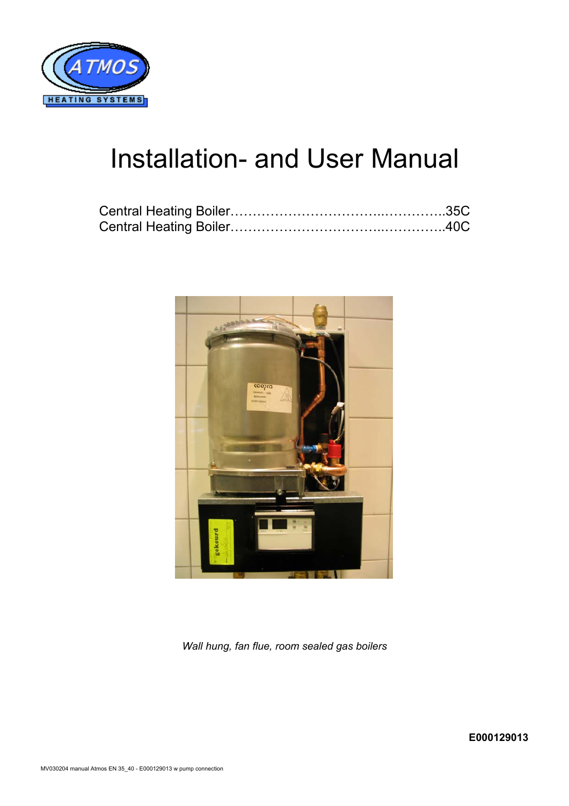

# Installation- and User Manual



*Wall hung, fan flue, room sealed gas boilers*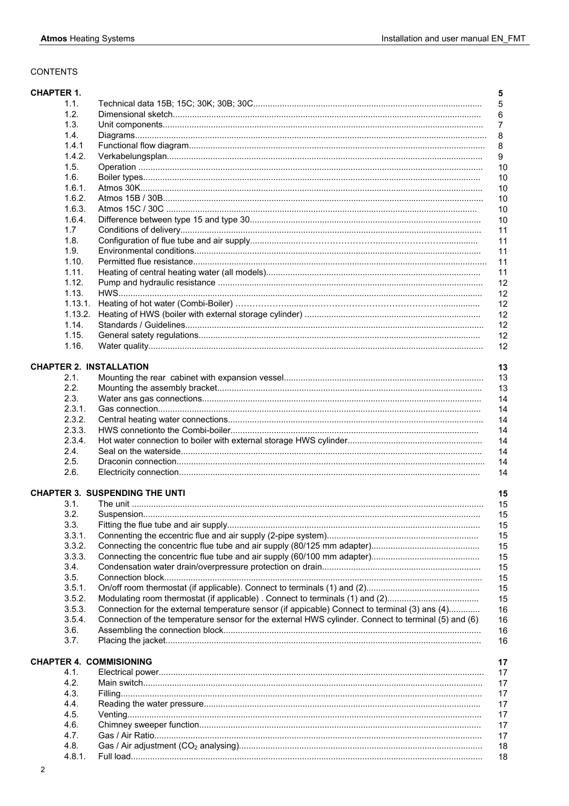# **CONTENTS**

| <b>CHAPTER 1.</b> |                | 5                                                                                                         |
|-------------------|----------------|-----------------------------------------------------------------------------------------------------------|
|                   | 1.1.           | $\sqrt{5}$                                                                                                |
|                   | 1.2.           | 6                                                                                                         |
|                   | 1.3.           | $\overline{7}$                                                                                            |
|                   | 1.4.           | 8                                                                                                         |
|                   | 1.4.1          | 8                                                                                                         |
|                   | 1.4.2.         | 9                                                                                                         |
|                   | 1.5.           | 10                                                                                                        |
|                   | 1.6.           | 10                                                                                                        |
|                   | 1.6.1.         | 10                                                                                                        |
|                   | 1.6.2.         | 10                                                                                                        |
|                   | 1.6.3.         | 10                                                                                                        |
|                   | 1.6.4.         | 10                                                                                                        |
|                   | 1.7            | 11                                                                                                        |
|                   | 1.8.           | 11                                                                                                        |
|                   | 1.9.           | 11                                                                                                        |
|                   | 1.10.          | 11                                                                                                        |
|                   | 1.11.          | 11                                                                                                        |
|                   | 1.12.          | 12                                                                                                        |
|                   | 1.13.          | 12                                                                                                        |
|                   | 1.13.1.        | 12                                                                                                        |
|                   | 1.13.2.        | 12                                                                                                        |
|                   | 1.14.          | 12                                                                                                        |
|                   | 1.15.          | 12                                                                                                        |
|                   | 1.16.          | 12                                                                                                        |
|                   |                | <b>CHAPTER 2. INSTALLATION</b><br>13                                                                      |
|                   | 2.1.           | 13                                                                                                        |
|                   | 2.2.           | 13                                                                                                        |
|                   | 2.3.           | 14                                                                                                        |
|                   | 2.3.1.         | 14                                                                                                        |
|                   | 2.3.2.         | 14                                                                                                        |
|                   | 2.3.3.         | 14                                                                                                        |
|                   | 2.3.4.         | 14                                                                                                        |
|                   | 2.4.           | 14                                                                                                        |
|                   | 2.5.           | 14                                                                                                        |
|                   | 2.6.           | 14                                                                                                        |
|                   |                |                                                                                                           |
|                   |                | <b>CHAPTER 3. SUSPENDING THE UNTI</b><br>15                                                               |
|                   | 3.1.           | 15                                                                                                        |
|                   | 3.2.           | 15                                                                                                        |
|                   | 3.3.           | 15                                                                                                        |
|                   | 3.3.1.         | 15                                                                                                        |
|                   | 3.3.2.         | 15                                                                                                        |
|                   | 3.3.3.<br>3.4. | 15                                                                                                        |
|                   | 3.5.           | 15                                                                                                        |
|                   | 3.5.1.         | 15<br>15                                                                                                  |
|                   | 3.5.2.         | Modulating room thermostat (if applicable). Connect to terminals (1) and (2)<br>15                        |
|                   | 3.5.3.         | Connection for the external temperature sensor (if appicable) Connect to terminal (3) ans (4)<br>16       |
|                   | 3.5.4.         | Connection of the temperature sensor for the external HWS cylinder. Connect to terminal (5) and (6)<br>16 |
|                   | 3.6.           | 16                                                                                                        |
|                   | 3.7.           | 16                                                                                                        |
|                   |                |                                                                                                           |
|                   |                | <b>CHAPTER 4. COMMISIONING</b><br>17                                                                      |
|                   | 4.1.           | 17                                                                                                        |
|                   | 4.2.           | 17                                                                                                        |
|                   | 4.3.           | 17                                                                                                        |
|                   | 4.4.           | 17                                                                                                        |
|                   | 4.5.           | 17                                                                                                        |
|                   | 4.6.           | 17                                                                                                        |
|                   | 4.7.           | 17                                                                                                        |
|                   | 4.8.           | 18                                                                                                        |
|                   | 4.8.1.         | 18                                                                                                        |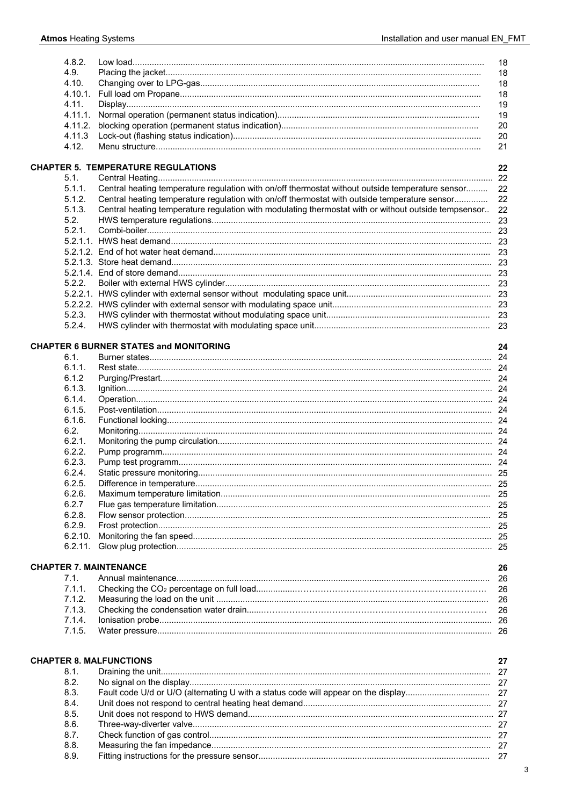$8.8.$ 

 $8.9.$ 

| 4.8.2.     |                                                                                                      | 18   |
|------------|------------------------------------------------------------------------------------------------------|------|
| 4.9.       |                                                                                                      | 18   |
| 4.10.      |                                                                                                      | 18   |
| $4.10.1$ . |                                                                                                      | 18   |
| 4.11.      |                                                                                                      | 19   |
|            |                                                                                                      |      |
| 4.11.1.    |                                                                                                      | 19   |
| 4.11.2.    |                                                                                                      | 20   |
| 4.11.3     |                                                                                                      | 20   |
| 4.12.      |                                                                                                      | 21   |
|            |                                                                                                      |      |
|            | <b>CHAPTER 5. TEMPERATURE REGULATIONS</b>                                                            | 22   |
| 5.1.       |                                                                                                      |      |
| 5.1.1.     | Central heating temperature regulation with on/off thermostat without outside temperature sensor     | 22   |
|            |                                                                                                      |      |
| 5.1.2.     | Central heating temperature regulation with on/off thermostat with outside temperature sensor        | 22   |
| 5.1.3.     | Central heating temperature regulation with modulating thermostat with or without outside tempsensor | 22   |
| 5.2.       |                                                                                                      |      |
| 5.2.1.     |                                                                                                      |      |
|            |                                                                                                      |      |
|            |                                                                                                      |      |
|            |                                                                                                      |      |
|            |                                                                                                      |      |
|            |                                                                                                      |      |
| 5.2.2.     |                                                                                                      |      |
|            |                                                                                                      |      |
|            |                                                                                                      |      |
| 5.2.3.     |                                                                                                      |      |
| 5.2.4.     |                                                                                                      |      |
|            |                                                                                                      |      |
|            | <b>CHAPTER 6 BURNER STATES and MONITORING</b>                                                        | 24   |
| 6.1.       |                                                                                                      |      |
|            |                                                                                                      |      |
| 6.1.1.     |                                                                                                      |      |
| 6.1.2      |                                                                                                      |      |
| 6.1.3.     |                                                                                                      |      |
| 6.1.4.     |                                                                                                      |      |
| 6.1.5.     |                                                                                                      |      |
| 6.1.6.     |                                                                                                      |      |
| 6.2.       |                                                                                                      |      |
|            |                                                                                                      |      |
| 6.2.1.     |                                                                                                      |      |
| 6.2.2.     |                                                                                                      |      |
| 6.2.3.     |                                                                                                      |      |
| 6.2.4.     |                                                                                                      |      |
| 6.2.5.     |                                                                                                      |      |
| 6.2.6.     |                                                                                                      |      |
| 6.2.7      |                                                                                                      |      |
| 6.2.8.     |                                                                                                      |      |
|            |                                                                                                      |      |
| 6.2.9.     |                                                                                                      |      |
| 6.2.10.    |                                                                                                      |      |
| 6.2.11.    |                                                                                                      |      |
|            |                                                                                                      |      |
|            | <b>CHAPTER 7. MAINTENANCE</b>                                                                        | 26   |
| 7.1.       |                                                                                                      | 26   |
| 7.1.1.     |                                                                                                      | 26   |
| 7.1.2.     |                                                                                                      |      |
|            |                                                                                                      | 26   |
| 7.1.3.     |                                                                                                      | 26   |
| 7.1.4.     |                                                                                                      |      |
| 7.1.5.     |                                                                                                      |      |
|            |                                                                                                      |      |
|            |                                                                                                      |      |
|            | <b>CHAPTER 8. MALFUNCTIONS</b>                                                                       | 27   |
| 8.1.       |                                                                                                      | - 27 |
| 8.2.       |                                                                                                      |      |
| 8.3.       |                                                                                                      |      |
|            |                                                                                                      |      |
| 8.4.       |                                                                                                      |      |
| 8.5.       |                                                                                                      |      |
| 8.6.       |                                                                                                      |      |
| 8.7.       |                                                                                                      |      |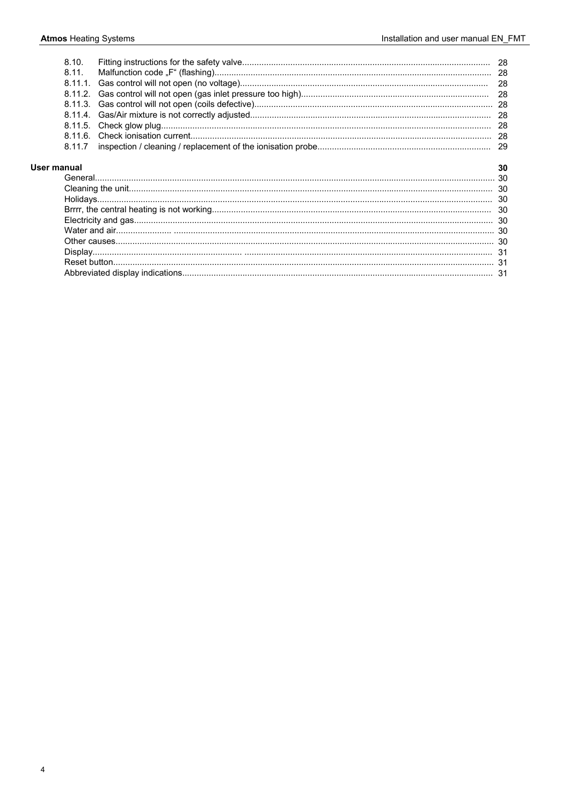|             | 8.10.      |    |
|-------------|------------|----|
|             | 8.11.      |    |
|             | 8.11.1.    |    |
|             | 8.11.2     |    |
|             | 8.11.3.    |    |
|             | $8.11.4$ . |    |
|             |            |    |
|             |            |    |
|             | 8.11.7     |    |
| User manual |            | 30 |
|             |            |    |
|             |            |    |
|             |            |    |
|             |            |    |
|             |            |    |
|             |            |    |
|             |            |    |
|             |            |    |
|             |            |    |
|             |            |    |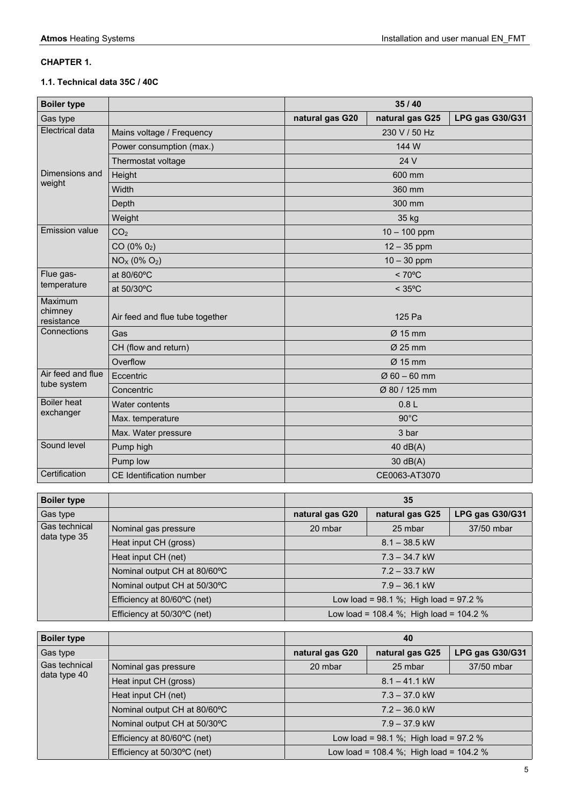# **CHAPTER 1.**

# **1.1. Technical data 35C / 40C**

| <b>Boiler type</b>               |                                 | 35/40            |                     |                 |
|----------------------------------|---------------------------------|------------------|---------------------|-----------------|
| Gas type                         |                                 | natural gas G20  | natural gas G25     | LPG gas G30/G31 |
| Electrical data                  | Mains voltage / Frequency       |                  | 230 V / 50 Hz       |                 |
|                                  | Power consumption (max.)        |                  | 144 W               |                 |
|                                  | Thermostat voltage              |                  | 24 V                |                 |
| Dimensions and                   | Height                          |                  | 600 mm              |                 |
| weight                           | Width                           | 360 mm           |                     |                 |
|                                  | Depth                           |                  | 300 mm              |                 |
|                                  | Weight                          |                  | 35 kg               |                 |
| <b>Emission value</b>            | CO <sub>2</sub>                 |                  | $10 - 100$ ppm      |                 |
|                                  | $CO(0\% 02)$                    |                  | $12 - 35$ ppm       |                 |
|                                  | $NOX (0\% O2)$                  | $10 - 30$ ppm    |                     |                 |
| Flue gas-                        | at 80/60°C                      | $< 70^{\circ}$ C |                     |                 |
| temperature                      | at 50/30°C                      |                  | $<$ 35 $^{\circ}$ C |                 |
| Maximum<br>chimney<br>resistance | Air feed and flue tube together | 125 Pa           |                     |                 |
| Connections                      | Gas                             | Ø 15 mm          |                     |                 |
|                                  | CH (flow and return)            | Ø 25 mm          |                     |                 |
|                                  | Overflow                        | $Ø$ 15 mm        |                     |                 |
| Air feed and flue                | Eccentric                       | $Ø 60 - 60$ mm   |                     |                 |
| tube system                      | Concentric                      | Ø 80 / 125 mm    |                     |                 |
| <b>Boiler heat</b>               | Water contents                  | 0.8L             |                     |                 |
| exchanger                        | Max. temperature                | $90^{\circ}$ C   |                     |                 |
|                                  | Max. Water pressure             | 3 bar            |                     |                 |
| Sound level                      | Pump high                       |                  | 40 dB(A)            |                 |
|                                  | Pump low                        | 30 dB(A)         |                     |                 |
| Certification                    | <b>CE Identification number</b> |                  | CE0063-AT3070       |                 |

| <b>Boiler type</b>            |                              | 35                                         |                 |                 |
|-------------------------------|------------------------------|--------------------------------------------|-----------------|-----------------|
| Gas type                      |                              | natural gas G20                            | natural gas G25 | LPG gas G30/G31 |
| Gas technical<br>data type 35 | Nominal gas pressure         | 20 mbar                                    | 25 mbar         | 37/50 mbar      |
|                               | Heat input CH (gross)        | $8.1 - 38.5$ kW                            |                 |                 |
|                               | Heat input CH (net)          | $7.3 - 34.7$ kW<br>$7.2 - 33.7$ kW         |                 |                 |
|                               | Nominal output CH at 80/60°C |                                            |                 |                 |
|                               | Nominal output CH at 50/30°C | $7.9 - 36.1$ kW                            |                 |                 |
|                               | Efficiency at 80/60°C (net)  | Low load = $98.1\%$ ; High load = $97.2\%$ |                 |                 |
|                               | Efficiency at 50/30°C (net)  | Low load = 108.4 %; High load = 104.2 %    |                 |                 |

| <b>Boiler type</b> |                                       | 40                                           |                 |                 |
|--------------------|---------------------------------------|----------------------------------------------|-----------------|-----------------|
| Gas type           |                                       | natural gas G20                              | natural gas G25 | LPG gas G30/G31 |
| Gas technical      | Nominal gas pressure                  | 20 mbar                                      | 25 mbar         | 37/50 mbar      |
| data type 40       | Heat input CH (gross)                 | $8.1 - 41.1$ kW                              |                 |                 |
|                    | Heat input CH (net)                   | $7.3 - 37.0$ kW                              |                 |                 |
|                    | Nominal output CH at 80/60°C          | $7.2 - 36.0$ kW                              |                 |                 |
|                    | Nominal output CH at 50/30°C          | $7.9 - 37.9$ kW                              |                 |                 |
|                    | Efficiency at $80/60^{\circ}$ C (net) | Low load = $98.1 \%$ ; High load = $97.2 \%$ |                 |                 |
|                    | Efficiency at $50/30^{\circ}$ C (net) | Low load = 108.4 %; High load = 104.2 %      |                 |                 |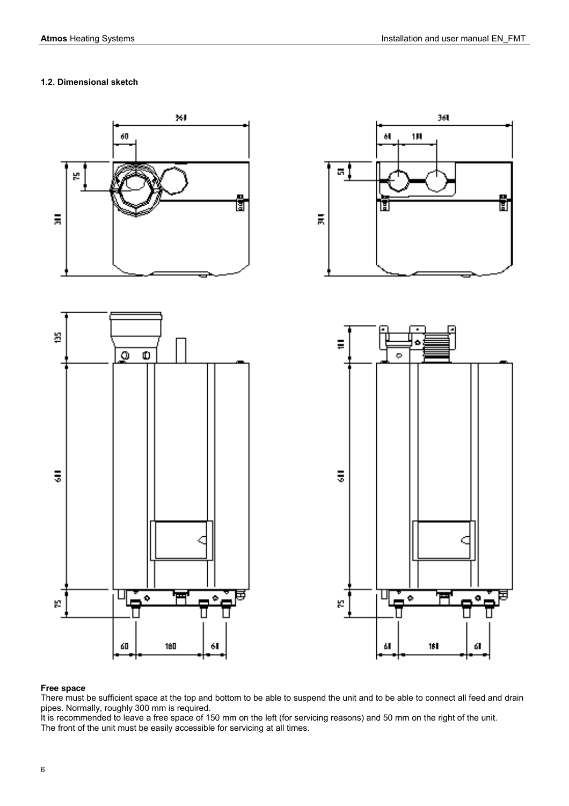# **1.2. Dimensional sketch**



# **Free space**

There must be sufficient space at the top and bottom to be able to suspend the unit and to be able to connect all feed and drain pipes. Normally, roughly 300 mm is required.

It is recommended to leave a free space of 150 mm on the left (for servicing reasons) and 50 mm on the right of the unit. The front of the unit must be easily accessible for servicing at all times.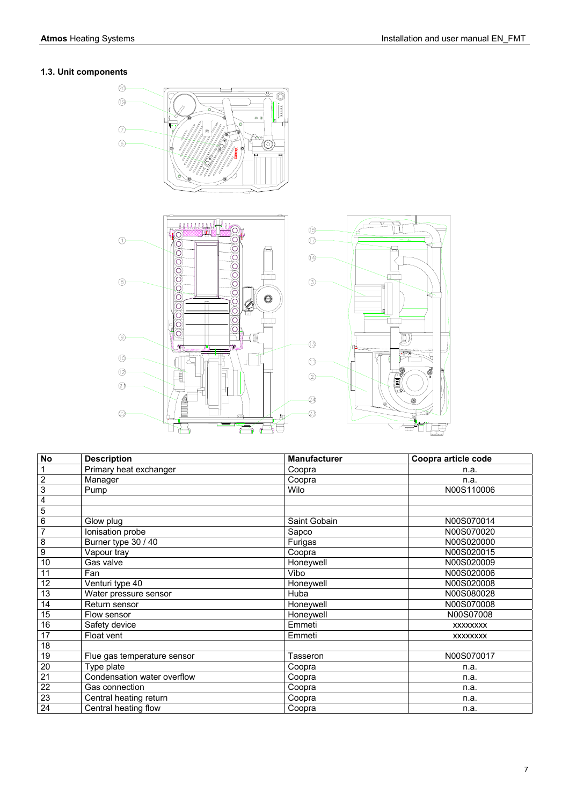# **1.3. Unit components**



| $\overline{N}$          | <b>Description</b>          | <b>Manufacturer</b> | Coopra article code |
|-------------------------|-----------------------------|---------------------|---------------------|
| 1                       | Primary heat exchanger      | Coopra              | n.a.                |
| $\overline{2}$          | Manager                     | Coopra              | n.a.                |
| 3                       | Pump                        | Wilo                | N00S110006          |
| $\overline{\mathbf{4}}$ |                             |                     |                     |
| $\overline{5}$          |                             |                     |                     |
| 6                       | Glow plug                   | Saint Gobain        | N00S070014          |
| $\overline{7}$          | Ionisation probe            | Sapco               | N00S070020          |
| $\overline{8}$          | Burner type 30 / 40         | Furigas             | N00S020000          |
| $\overline{9}$          | Vapour tray                 | Coopra              | N00S020015          |
| 10                      | Gas valve                   | Honeywell           | N00S020009          |
| 11                      | Fan                         | Vibo                | N00S020006          |
| 12                      | Venturi type 40             | Honeywell           | N00S020008          |
| 13                      | Water pressure sensor       | Huba                | N00S080028          |
| 14                      | Return sensor               | Honeywell           | N00S070008          |
| 15                      | Flow sensor                 | Honeywell           | N00S07008           |
| 16                      | Safety device               | Emmeti              | <b>XXXXXXXX</b>     |
| 17                      | Float vent                  | Emmeti              | <b>XXXXXXXX</b>     |
| 18                      |                             |                     |                     |
| 19                      | Flue gas temperature sensor | Tasseron            | N00S070017          |
| $\overline{20}$         | Type plate                  | Coopra              | n.a.                |
| $\overline{21}$         | Condensation water overflow | Coopra              | n.a.                |
| $\overline{22}$         | Gas connection              | Coopra              | n.a.                |
| 23                      | Central heating return      | Coopra              | n.a.                |
| 24                      | Central heating flow        | Coopra              | n.a.                |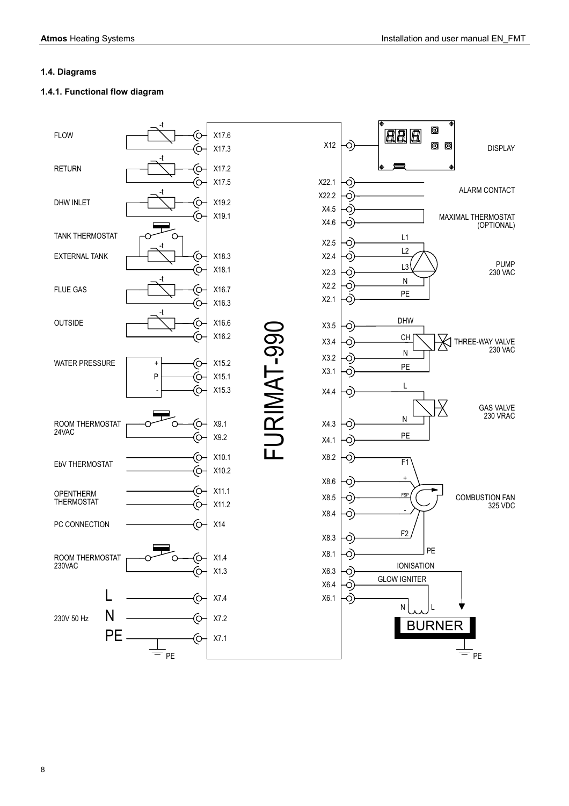# **1.4. Diagrams**

# **1.4.1. Functional flow diagram**

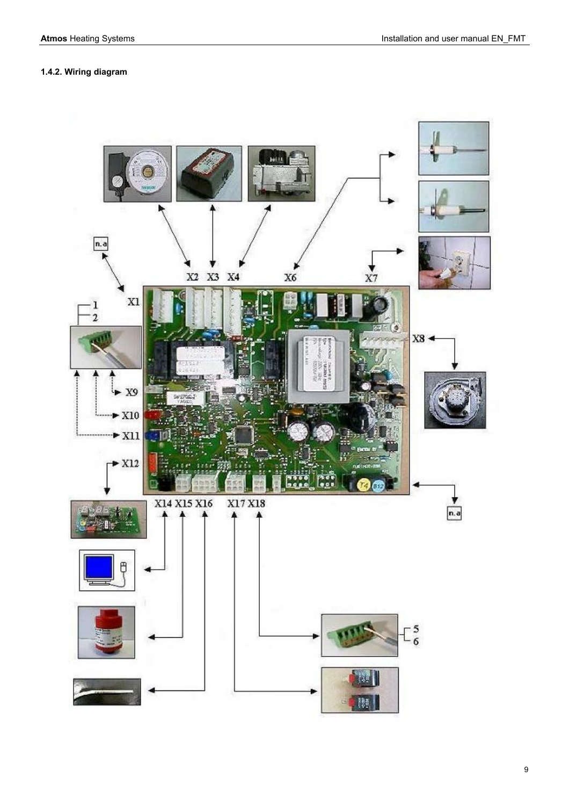# **1.4.2. Wiring diagram**

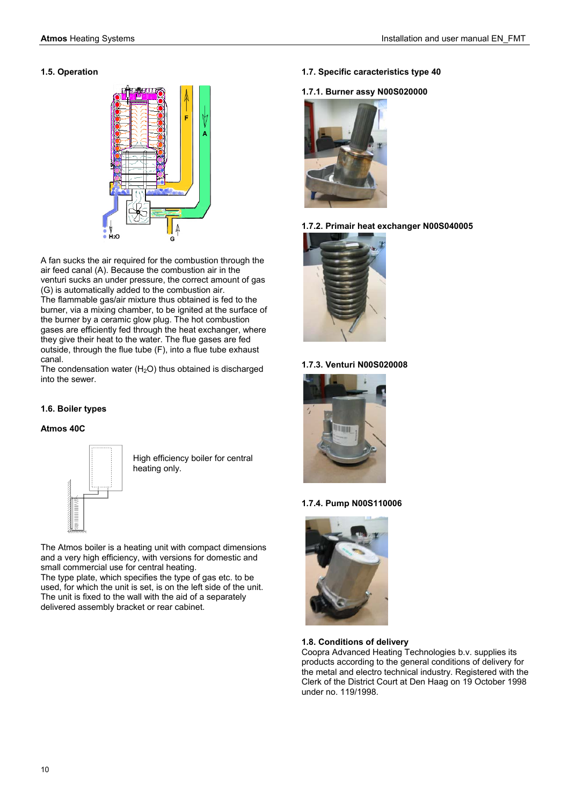# **1.5. Operation**



A fan sucks the air required for the combustion through the air feed canal (A). Because the combustion air in the venturi sucks an under pressure, the correct amount of gas (G) is automatically added to the combustion air. The flammable gas/air mixture thus obtained is fed to the burner, via a mixing chamber, to be ignited at the surface of the burner by a ceramic glow plug. The hot combustion gases are efficiently fed through the heat exchanger, where they give their heat to the water. The flue gases are fed outside, through the flue tube (F), into a flue tube exhaust canal.

The condensation water  $(H<sub>2</sub>O)$  thus obtained is discharged into the sewer.

# **1.6. Boiler types**

# **Atmos 40C**



High efficiency boiler for central heating only.

The Atmos boiler is a heating unit with compact dimensions and a very high efficiency, with versions for domestic and small commercial use for central heating.

The type plate, which specifies the type of gas etc. to be used, for which the unit is set, is on the left side of the unit. The unit is fixed to the wall with the aid of a separately delivered assembly bracket or rear cabinet.

**1.7. Specific caracteristics type 40** 

# **1.7.1. Burner assy N00S020000**



# **1.7.2. Primair heat exchanger N00S040005**



# **1.7.3. Venturi N00S020008**



# **1.7.4. Pump N00S110006**



#### **1.8. Conditions of delivery**

Coopra Advanced Heating Technologies b.v. supplies its products according to the general conditions of delivery for the metal and electro technical industry. Registered with the Clerk of the District Court at Den Haag on 19 October 1998 under no. 119/1998.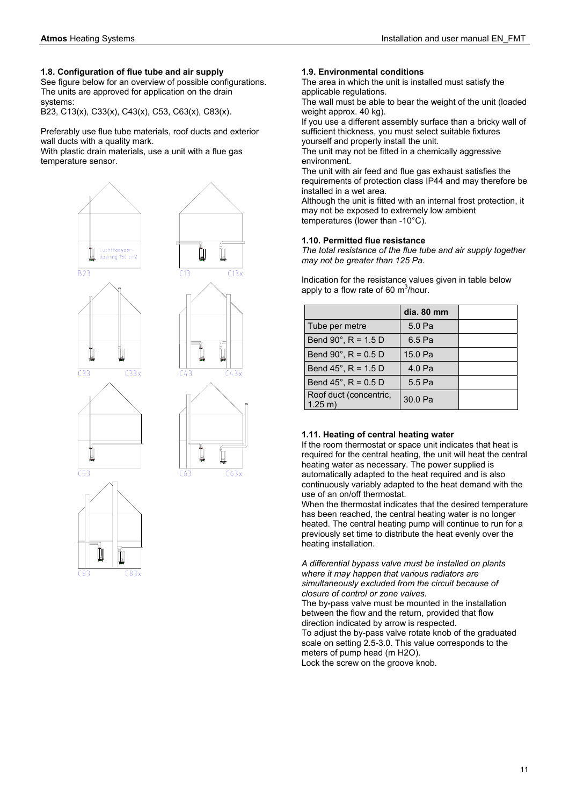$\overline{B23}$ 

 $\overline{C}$ 33

 $553$ 

#### **1.8. Configuration of flue tube and air supply**

See figure below for an overview of possible configurations. The units are approved for application on the drain systems:

B23, C13(x), C33(x), C43(x), C53, C63(x), C83(x).

Preferably use flue tube materials, roof ducts and exterior wall ducts with a quality mark.

With plastic drain materials, use a unit with a flue gas temperature sensor.





#### **1.9. Environmental conditions**

The area in which the unit is installed must satisfy the applicable regulations.

The wall must be able to bear the weight of the unit (loaded weight approx. 40 kg).

If you use a different assembly surface than a bricky wall of sufficient thickness, you must select suitable fixtures yourself and properly install the unit.

The unit may not be fitted in a chemically aggressive environment.

The unit with air feed and flue gas exhaust satisfies the requirements of protection class IP44 and may therefore be installed in a wet area.

Although the unit is fitted with an internal frost protection, it may not be exposed to extremely low ambient temperatures (lower than -10°C).

# **1.10. Permitted flue resistance**

*The total resistance of the flue tube and air supply together may not be greater than 125 Pa.* 

Indication for the resistance values given in table below apply to a flow rate of 60  $\text{m}^3\text{/hour.}$ 

|                                              | dia. 80 mm |  |
|----------------------------------------------|------------|--|
| Tube per metre                               | 5.0 Pa     |  |
| Bend $90^{\circ}$ , R = 1.5 D                | 6.5 Pa     |  |
| Bend 90 $^{\circ}$ , R = 0.5 D               | 15.0 Pa    |  |
| Bend $45^{\circ}$ , R = 1.5 D                | 4.0 Pa     |  |
| Bend 45°, $R = 0.5$ D                        | 5.5 Pa     |  |
| Roof duct (concentric,<br>$1.25 \text{ m}$ ) | 30.0 Pa    |  |

#### **1.11. Heating of central heating water**

If the room thermostat or space unit indicates that heat is required for the central heating, the unit will heat the central heating water as necessary. The power supplied is automatically adapted to the heat required and is also continuously variably adapted to the heat demand with the use of an on/off thermostat.

When the thermostat indicates that the desired temperature has been reached, the central heating water is no longer heated. The central heating pump will continue to run for a previously set time to distribute the heat evenly over the heating installation.

*A differential bypass valve must be installed on plants where it may happen that various radiators are simultaneously excluded from the circuit because of closure of control or zone valves.* 

The by-pass valve must be mounted in the installation between the flow and the return, provided that flow direction indicated by arrow is respected. To adjust the by-pass valve rotate knob of the graduated scale on setting 2.5-3.0. This value corresponds to the meters of pump head (m H2O). Lock the screw on the groove knob.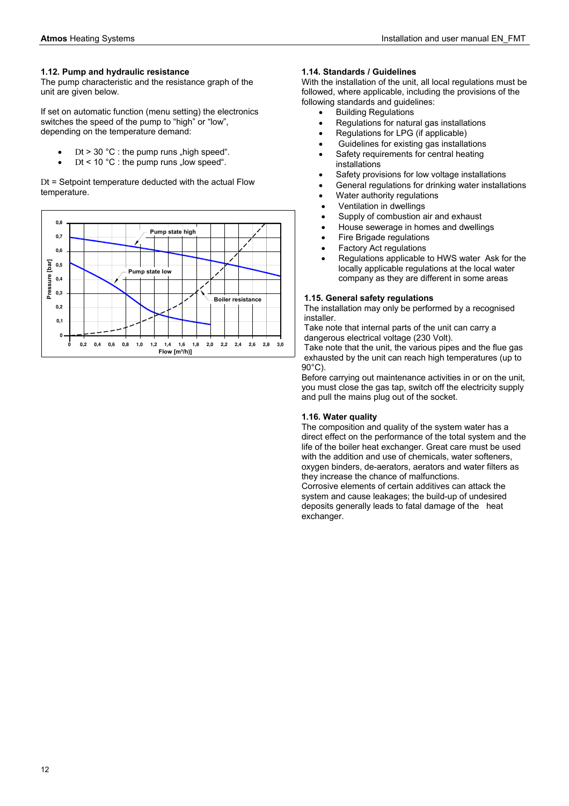# **1.12. Pump and hydraulic resistance**

The pump characteristic and the resistance graph of the unit are given below.

If set on automatic function (menu setting) the electronics switches the speed of the pump to "high" or "low", depending on the temperature demand:

- Dt > 30 °C : the pump runs "high speed".
- Dt < 10  $^{\circ}$ C : the pump runs "low speed".

Dt = Setpoint temperature deducted with the actual Flow temperature.



#### **1.14. Standards / Guidelines**

With the installation of the unit, all local regulations must be followed, where applicable, including the provisions of the following standards and guidelines:

- Building Regulations
- Regulations for natural gas installations
- Regulations for LPG (if applicable)
- Guidelines for existing gas installations
- Safety requirements for central heating installations
- Safety provisions for low voltage installations
- General regulations for drinking water installations
- Water authority regulations
- Ventilation in dwellings
- Supply of combustion air and exhaust
- House sewerage in homes and dwellings
- Fire Brigade regulations
- Factory Act regulations
- Regulations applicable to HWS water Ask for the locally applicable regulations at the local water company as they are different in some areas

# **1.15. General safety regulations**

The installation may only be performed by a recognised installer.

Take note that internal parts of the unit can carry a dangerous electrical voltage (230 Volt).

Take note that the unit, the various pipes and the flue gas exhausted by the unit can reach high temperatures (up to 90°C).

Before carrying out maintenance activities in or on the unit, you must close the gas tap, switch off the electricity supply and pull the mains plug out of the socket.

# **1.16. Water quality**

The composition and quality of the system water has a direct effect on the performance of the total system and the life of the boiler heat exchanger. Great care must be used with the addition and use of chemicals, water softeners, oxygen binders, de-aerators, aerators and water filters as they increase the chance of malfunctions.

Corrosive elements of certain additives can attack the system and cause leakages; the build-up of undesired deposits generally leads to fatal damage of the heat exchanger.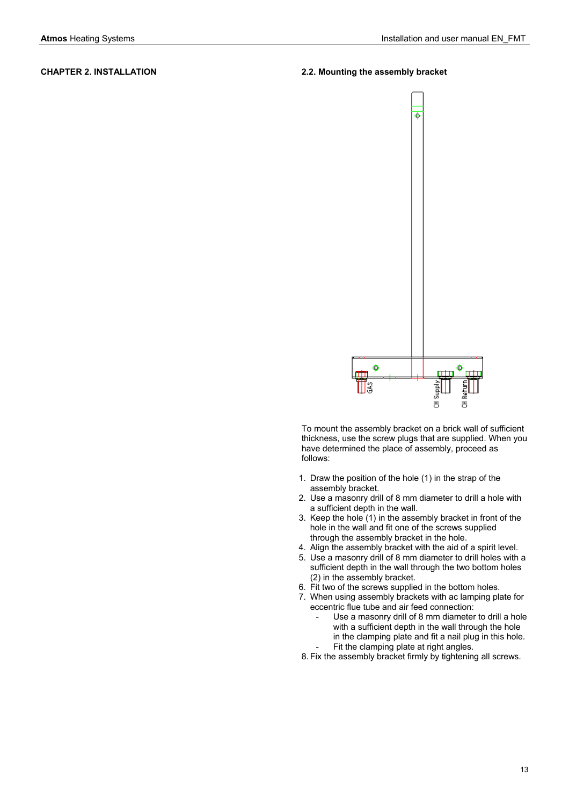# **CHAPTER 2. INSTALLATION 2.2. Mounting the assembly bracket**



To mount the assembly bracket on a brick wall of sufficient thickness, use the screw plugs that are supplied. When you have determined the place of assembly, proceed as follows:

- 1. Draw the position of the hole (1) in the strap of the assembly bracket.
- 2. Use a masonry drill of 8 mm diameter to drill a hole with a sufficient depth in the wall.
- 3. Keep the hole (1) in the assembly bracket in front of the hole in the wall and fit one of the screws supplied through the assembly bracket in the hole.
- 4. Align the assembly bracket with the aid of a spirit level.
- 5. Use a masonry drill of 8 mm diameter to drill holes with a sufficient depth in the wall through the two bottom holes (2) in the assembly bracket.
- 6. Fit two of the screws supplied in the bottom holes.
- 7. When using assembly brackets with ac lamping plate for eccentric flue tube and air feed connection:
	- Use a masonry drill of 8 mm diameter to drill a hole with a sufficient depth in the wall through the hole in the clamping plate and fit a nail plug in this hole. Fit the clamping plate at right angles.
- 8. Fix the assembly bracket firmly by tightening all screws.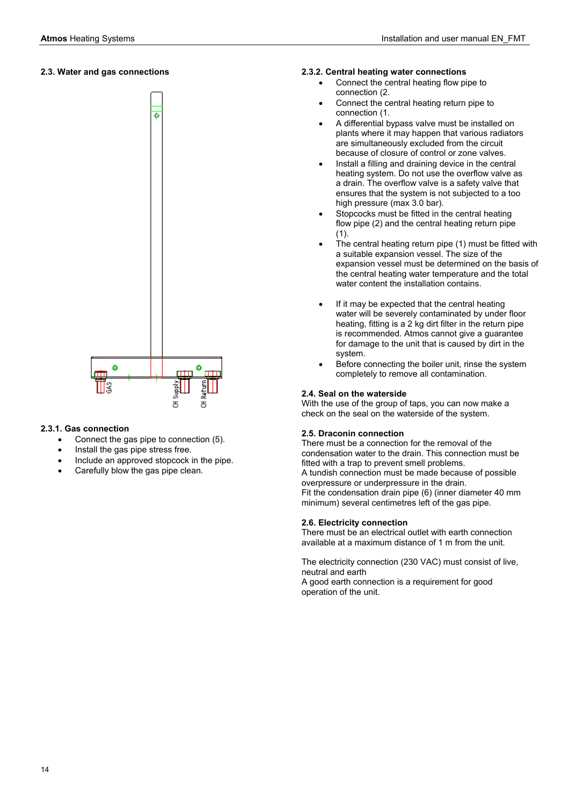# **2.3. Water and gas connections**



#### **2.3.1. Gas connection**

- Connect the gas pipe to connection (5).
- Install the gas pipe stress free.
- Include an approved stopcock in the pipe.
- Carefully blow the gas pipe clean.

#### **2.3.2. Central heating water connections**

- Connect the central heating flow pipe to connection (2.
- Connect the central heating return pipe to connection (1.
- A differential bypass valve must be installed on plants where it may happen that various radiators are simultaneously excluded from the circuit because of closure of control or zone valves.
- Install a filling and draining device in the central heating system. Do not use the overflow valve as a drain. The overflow valve is a safety valve that ensures that the system is not subjected to a too high pressure (max 3.0 bar).
- Stopcocks must be fitted in the central heating flow pipe (2) and the central heating return pipe (1).
- The central heating return pipe (1) must be fitted with a suitable expansion vessel. The size of the expansion vessel must be determined on the basis of the central heating water temperature and the total water content the installation contains.
- If it may be expected that the central heating water will be severely contaminated by under floor heating, fitting is a 2 kg dirt filter in the return pipe is recommended. Atmos cannot give a guarantee for damage to the unit that is caused by dirt in the system.
- Before connecting the boiler unit, rinse the system completely to remove all contamination.

#### **2.4. Seal on the waterside**

With the use of the group of taps, you can now make a check on the seal on the waterside of the system.

#### **2.5. Draconin connection**

There must be a connection for the removal of the condensation water to the drain. This connection must be fitted with a trap to prevent smell problems. A tundish connection must be made because of possible overpressure or underpressure in the drain. Fit the condensation drain pipe (6) (inner diameter 40 mm minimum) several centimetres left of the gas pipe.

#### **2.6. Electricity connection**

There must be an electrical outlet with earth connection available at a maximum distance of 1 m from the unit.

The electricity connection (230 VAC) must consist of live, neutral and earth A good earth connection is a requirement for good operation of the unit.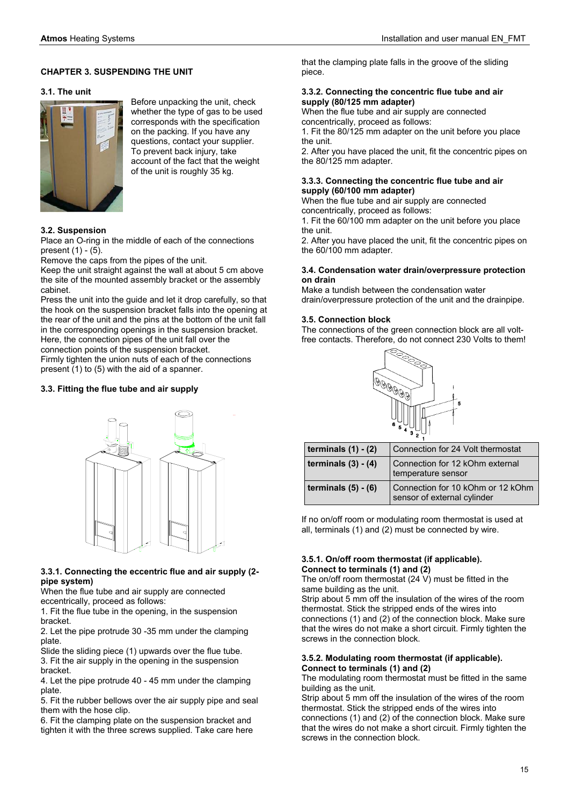#### **CHAPTER 3. SUSPENDING THE UNIT**

#### **3.1. The unit**



Before unpacking the unit, check whether the type of gas to be used corresponds with the specification on the packing. If you have any questions, contact your supplier. To prevent back injury, take account of the fact that the weight of the unit is roughly 35 kg.

#### **3.2. Suspension**

Place an O-ring in the middle of each of the connections present  $(1)$  -  $(5)$ .

Remove the caps from the pipes of the unit.

Keep the unit straight against the wall at about 5 cm above the site of the mounted assembly bracket or the assembly cabinet.

Press the unit into the guide and let it drop carefully, so that the hook on the suspension bracket falls into the opening at the rear of the unit and the pins at the bottom of the unit fall in the corresponding openings in the suspension bracket. Here, the connection pipes of the unit fall over the

connection points of the suspension bracket.

Firmly tighten the union nuts of each of the connections present (1) to (5) with the aid of a spanner.

#### **3.3. Fitting the flue tube and air supply**



#### **3.3.1. Connecting the eccentric flue and air supply (2 pipe system)**

When the flue tube and air supply are connected eccentrically, proceed as follows:

1. Fit the flue tube in the opening, in the suspension bracket.

2. Let the pipe protrude 30 -35 mm under the clamping plate.

Slide the sliding piece (1) upwards over the flue tube. 3. Fit the air supply in the opening in the suspension bracket.

4. Let the pipe protrude 40 - 45 mm under the clamping plate.

5. Fit the rubber bellows over the air supply pipe and seal them with the hose clip.

6. Fit the clamping plate on the suspension bracket and tighten it with the three screws supplied. Take care here that the clamping plate falls in the groove of the sliding piece.

#### **3.3.2. Connecting the concentric flue tube and air supply (80/125 mm adapter)**

When the flue tube and air supply are connected concentrically, proceed as follows:

1. Fit the 80/125 mm adapter on the unit before you place the unit.

2. After you have placed the unit, fit the concentric pipes on the 80/125 mm adapter.

#### **3.3.3. Connecting the concentric flue tube and air supply (60/100 mm adapter)**

When the flue tube and air supply are connected

concentrically, proceed as follows:

1. Fit the 60/100 mm adapter on the unit before you place the unit.

2. After you have placed the unit, fit the concentric pipes on the 60/100 mm adapter.

#### **3.4. Condensation water drain/overpressure protection on drain**

Make a tundish between the condensation water drain/overpressure protection of the unit and the drainpipe.

#### **3.5. Connection block**

The connections of the green connection block are all voltfree contacts. Therefore, do not connect 230 Volts to them!



| terminals $(1) - (2)$ | Connection for 24 Volt thermostat                                |
|-----------------------|------------------------------------------------------------------|
| terminals $(3) - (4)$ | Connection for 12 kOhm external<br>temperature sensor            |
| terminals $(5) - (6)$ | Connection for 10 kOhm or 12 kOhm<br>sensor of external cylinder |

If no on/off room or modulating room thermostat is used at all, terminals (1) and (2) must be connected by wire.

#### **3.5.1. On/off room thermostat (if applicable). Connect to terminals (1) and (2)**

The on/off room thermostat (24 V) must be fitted in the same building as the unit.

Strip about 5 mm off the insulation of the wires of the room thermostat. Stick the stripped ends of the wires into connections (1) and (2) of the connection block. Make sure that the wires do not make a short circuit. Firmly tighten the screws in the connection block.

#### **3.5.2. Modulating room thermostat (if applicable). Connect to terminals (1) and (2)**

The modulating room thermostat must be fitted in the same building as the unit.

Strip about 5 mm off the insulation of the wires of the room thermostat. Stick the stripped ends of the wires into connections (1) and (2) of the connection block. Make sure

that the wires do not make a short circuit. Firmly tighten the screws in the connection block.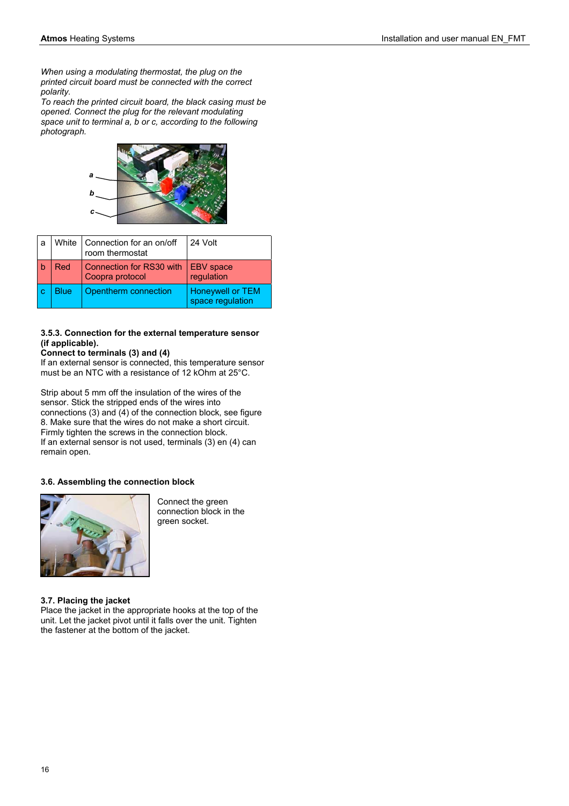*When using a modulating thermostat, the plug on the printed circuit board must be connected with the correct polarity.* 

*To reach the printed circuit board, the black casing must be opened. Connect the plug for the relevant modulating space unit to terminal a, b or c, according to the following photograph.* 



| a  | White | Connection for an on/off<br>room thermostat | 24 Volt                                     |
|----|-------|---------------------------------------------|---------------------------------------------|
|    | Red   | Connection for RS30 with<br>Coopra protocol | <b>EBV</b> space<br>regulation              |
| -C | Blue  | Opentherm connection                        | <b>Honeywell or TEM</b><br>space regulation |

# **3.5.3. Connection for the external temperature sensor (if applicable).**

# **Connect to terminals (3) and (4)**

If an external sensor is connected, this temperature sensor must be an NTC with a resistance of 12 kOhm at 25°C.

Strip about 5 mm off the insulation of the wires of the sensor. Stick the stripped ends of the wires into connections (3) and (4) of the connection block, see figure 8. Make sure that the wires do not make a short circuit. Firmly tighten the screws in the connection block. If an external sensor is not used, terminals (3) en (4) can remain open.

# **3.6. Assembling the connection block**



Connect the green connection block in the green socket.

# **3.7. Placing the jacket**

Place the jacket in the appropriate hooks at the top of the unit. Let the jacket pivot until it falls over the unit. Tighten the fastener at the bottom of the jacket.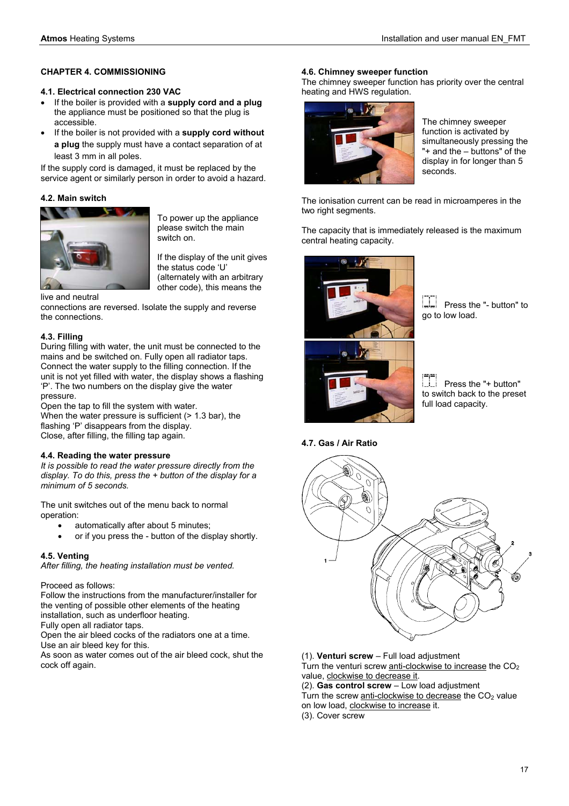# **CHAPTER 4. COMMISSIONING**

# **4.1. Electrical connection 230 VAC**

- If the boiler is provided with a **supply cord and a plug** the appliance must be positioned so that the plug is accessible.
- If the boiler is not provided with a **supply cord without a plug** the supply must have a contact separation of at least 3 mm in all poles.

If the supply cord is damaged, it must be replaced by the service agent or similarly person in order to avoid a hazard.

# **4.2. Main switch**



To power up the appliance please switch the main .<br>switch on.

If the display of the unit gives the status code 'U' (alternately with an arbitrary other code), this means the

#### live and neutral

connections are reversed. Isolate the supply and reverse the connections.

# **4.3. Filling**

During filling with water, the unit must be connected to the mains and be switched on. Fully open all radiator taps. Connect the water supply to the filling connection. If the unit is not yet filled with water, the display shows a flashing 'P'. The two numbers on the display give the water pressure.

Open the tap to fill the system with water. When the water pressure is sufficient ( $> 1.3$  bar), the flashing 'P' disappears from the display. Close, after filling, the filling tap again.

#### **4.4. Reading the water pressure**

*It is possible to read the water pressure directly from the display. To do this, press the + button of the display for a minimum of 5 seconds.* 

The unit switches out of the menu back to normal operation:

- automatically after about 5 minutes;
- or if you press the button of the display shortly.

# **4.5. Venting**

*After filling, the heating installation must be vented.* 

Proceed as follows:

Follow the instructions from the manufacturer/installer for the venting of possible other elements of the heating installation, such as underfloor heating.

Fully open all radiator taps.

Open the air bleed cocks of the radiators one at a time. Use an air bleed key for this.

As soon as water comes out of the air bleed cock, shut the cock off again.

# **4.6. Chimney sweeper function**

The chimney sweeper function has priority over the central heating and HWS regulation.



The chimney sweeper function is activated by simultaneously pressing the "+ and the – buttons" of the display in for longer than 5 seconds.

The ionisation current can be read in microamperes in the two right segments.

The capacity that is immediately released is the maximum central heating capacity.



 Press the "- button" to go to low load.

 Press the "+ button" to switch back to the preset full load capacity.

#### **4.7. Gas / Air Ratio**



(1). **Venturi screw** – Full load adjustment Turn the venturi screw anti-clockwise to increase the  $CO<sub>2</sub>$ 

value, clockwise to decrease it. (2). **Gas control screw** – Low load adjustment

Turn the screw anti-clockwise to decrease the  $CO<sub>2</sub>$  value on low load, clockwise to increase it.

(3). Cover screw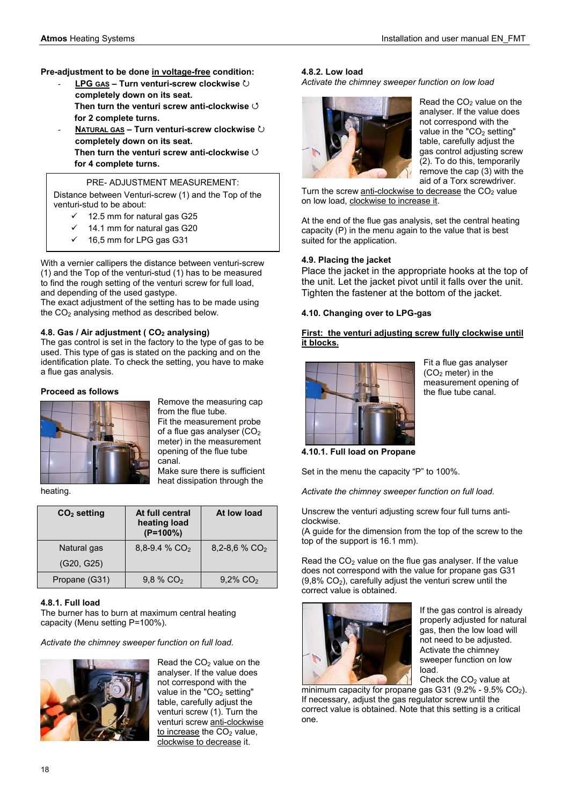# **Pre-adjustment to be done in voltage-free condition:**

- LPG GAS Turn venturi-screw clockwise  $\circlearrowright$ **completely down on its seat. Then turn the venturi screw anti-clockwise** 4 **for 2 complete turns.**
- $NATURAL GAS Turn venturi- screw clockwise$ **completely down on its seat. Then turn the venturi screw anti-clockwise** 4 **for 4 complete turns.**

# PRE- ADJUSTMENT MEASUREMENT:

Distance between Venturi-screw (1) and the Top of the venturi-stud to be about:

- $\checkmark$  12.5 mm for natural gas G25
- $\checkmark$  14.1 mm for natural gas G20
- 9 16,5 mm for LPG gas G31

With a vernier callipers the distance between venturi-screw (1) and the Top of the venturi-stud (1) has to be measured to find the rough setting of the venturi screw for full load, and depending of the used gastype.

The exact adjustment of the setting has to be made using the CO<sub>2</sub> analysing method as described below.

# **4.8. Gas / Air adiustment ( CO<sub>2</sub> analysing)**

The gas control is set in the factory to the type of gas to be used. This type of gas is stated on the packing and on the identification plate. To check the setting, you have to make a flue gas analysis.

# **Proceed as follows**



Remove the measuring cap from the flue tube. Fit the measurement probe of a flue gas analyser  $(CO<sub>2</sub>)$ meter) in the measurement

canal. Make sure there is sufficient heat dissipation through the

opening of the flue tube

heating.

| $CO2$ setting | At full central<br>heating load<br>$(P=100\%)$ | At low load             |
|---------------|------------------------------------------------|-------------------------|
| Natural gas   | $8,8-9.4$ % CO <sub>2</sub>                    | 8.2-8.6 % $CO2$         |
| (G20, G25)    |                                                |                         |
| Propane (G31) | $9.8\%$ CO <sub>2</sub>                        | $9.2\%$ CO <sub>2</sub> |

# **4.8.1. Full load**

The burner has to burn at maximum central heating capacity (Menu setting P=100%).

*Activate the chimney sweeper function on full load.* 



Read the  $CO<sub>2</sub>$  value on the analyser. If the value does not correspond with the value in the "CO<sub>2</sub> setting" table, carefully adjust the venturi screw (1). Turn the venturi screw anti-clockwise to increase the  $CO<sub>2</sub>$  value, clockwise to decrease it.

# **4.8.2. Low load**

*Activate the chimney sweeper function on low load* 



Read the  $CO<sub>2</sub>$  value on the analyser. If the value does not correspond with the value in the " $CO<sub>2</sub>$  setting" table, carefully adjust the gas control adjusting screw (2). To do this, temporarily remove the cap (3) with the aid of a Torx screwdriver.

Turn the screw anti-clockwise to decrease the  $CO<sub>2</sub>$  value on low load, clockwise to increase it.

At the end of the flue gas analysis, set the central heating capacity (P) in the menu again to the value that is best suited for the application.

# **4.9. Placing the jacket**

Place the jacket in the appropriate hooks at the top of the unit. Let the jacket pivot until it falls over the unit. Tighten the fastener at the bottom of the jacket.

# **4.10. Changing over to LPG-gas**

# **First: the venturi adjusting screw fully clockwise until it blocks.**



Fit a flue gas analyser  $(CO<sub>2</sub>$  meter) in the measurement opening of the flue tube canal.

**4.10.1. Full load on Propane** 

Set in the menu the capacity "P" to 100%.

*Activate the chimney sweeper function on full load.* 

Unscrew the venturi adjusting screw four full turns anticlockwise.

(A guide for the dimension from the top of the screw to the top of the support is 16.1 mm).

Read the  $CO<sub>2</sub>$  value on the flue gas analyser. If the value does not correspond with the value for propane gas G31  $(9.8\% \text{ CO}_2)$ , carefully adjust the venturi screw until the correct value is obtained.



If the gas control is already properly adjusted for natural gas, then the low load will not need to be adjusted. Activate the chimney sweeper function on low load. Check the  $CO<sub>2</sub>$  value at

minimum capacity for propane gas G31 (9.2% - 9.5%  $CO<sub>2</sub>$ ). If necessary, adjust the gas regulator screw until the correct value is obtained. Note that this setting is a critical one.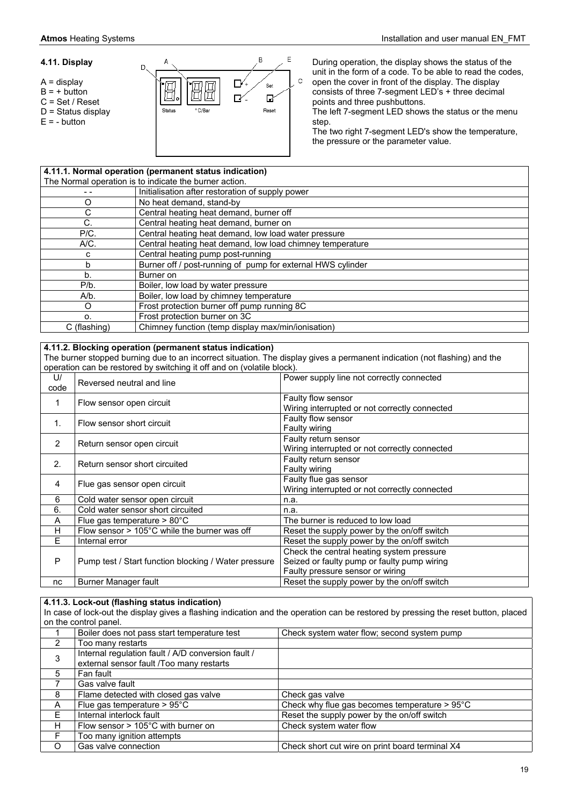#### **4.11. Display**

- A = display
- $B = +$  button
- C = Set / Reset
- D = Status display
- $E = -$  button



During operation, the display shows the status of the unit in the form of a code. To be able to read the codes, open the cover in front of the display. The display consists of three 7-segment LED's + three decimal points and three pushbuttons.

The left 7-segment LED shows the status or the menu step.

The two right 7-segment LED's show the temperature, the pressure or the parameter value.

| 4.11.1. Normal operation (permanent status indication) |                                                             |  |
|--------------------------------------------------------|-------------------------------------------------------------|--|
| The Normal operation is to indicate the burner action. |                                                             |  |
|                                                        | Initialisation after restoration of supply power            |  |
| Ω                                                      | No heat demand, stand-by                                    |  |
|                                                        | Central heating heat demand, burner off                     |  |
| C.                                                     | Central heating heat demand, burner on                      |  |
| P/C.                                                   | Central heating heat demand, low load water pressure        |  |
| A/C.                                                   | Central heating heat demand, low load chimney temperature   |  |
| с                                                      | Central heating pump post-running                           |  |
| b                                                      | Burner off / post-running of pump for external HWS cylinder |  |
| b.                                                     | Burner on                                                   |  |
| P/b.                                                   | Boiler, low load by water pressure                          |  |
| A/b.                                                   | Boiler, low load by chimney temperature                     |  |
| O                                                      | Frost protection burner off pump running 8C                 |  |
| о.                                                     | Frost protection burner on 3C                               |  |
| C (flashing)                                           | Chimney function (temp display max/min/ionisation)          |  |

#### **4.11.2. Blocking operation (permanent status indication)**

The burner stopped burning due to an incorrect situation. The display gives a permanent indication (not flashing) and the operation can be restored by switching it off and on (volatile block).

| U/<br>code     | Reversed neutral and line                              | Power supply line not correctly connected                                                                                    |
|----------------|--------------------------------------------------------|------------------------------------------------------------------------------------------------------------------------------|
| 1              | Flow sensor open circuit                               | Faulty flow sensor<br>Wiring interrupted or not correctly connected                                                          |
| $\mathbf{1}$ . | Flow sensor short circuit                              | Faulty flow sensor<br>Faulty wiring                                                                                          |
| 2              | Return sensor open circuit                             | Faulty return sensor<br>Wiring interrupted or not correctly connected                                                        |
| 2.             | Return sensor short circuited                          | Faulty return sensor<br>Faulty wiring                                                                                        |
| 4              | Flue gas sensor open circuit                           | Faulty flue gas sensor<br>Wiring interrupted or not correctly connected                                                      |
| 6              | Cold water sensor open circuit                         | n.a.                                                                                                                         |
| 6.             | Cold water sensor short circuited                      | n.a.                                                                                                                         |
| A              | Flue gas temperature $> 80^{\circ}$ C                  | The burner is reduced to low load                                                                                            |
| H              | Flow sensor $> 105^{\circ}$ C while the burner was off | Reset the supply power by the on/off switch                                                                                  |
| E              | Internal error                                         | Reset the supply power by the on/off switch                                                                                  |
| P              | Pump test / Start function blocking / Water pressure   | Check the central heating system pressure<br>Seized or faulty pump or faulty pump wiring<br>Faulty pressure sensor or wiring |
| nc             | Burner Manager fault                                   | Reset the supply power by the on/off switch                                                                                  |

# **4.11.3. Lock-out (flashing status indication)**

In case of lock-out the display gives a flashing indication and the operation can be restored by pressing the reset button, placed on the control panel.

|    | Boiler does not pass start temperature test                                                    | Check system water flow; second system pump             |
|----|------------------------------------------------------------------------------------------------|---------------------------------------------------------|
| 2  | Too many restarts                                                                              |                                                         |
| 3  | Internal regulation fault / A/D conversion fault /<br>external sensor fault /Too many restarts |                                                         |
| 5  | Fan fault                                                                                      |                                                         |
|    | Gas valve fault                                                                                |                                                         |
| 8  | Flame detected with closed gas valve                                                           | Check gas valve                                         |
| A  | Flue gas temperature $> 95^{\circ}$ C                                                          | Check why flue gas becomes temperature $> 95^{\circ}$ C |
| E. | Internal interlock fault                                                                       | Reset the supply power by the on/off switch             |
| н  | Flow sensor $> 105^{\circ}$ C with burner on                                                   | Check system water flow                                 |
| F  | Too many ignition attempts                                                                     |                                                         |
| O  | Gas valve connection                                                                           | Check short cut wire on print board terminal X4         |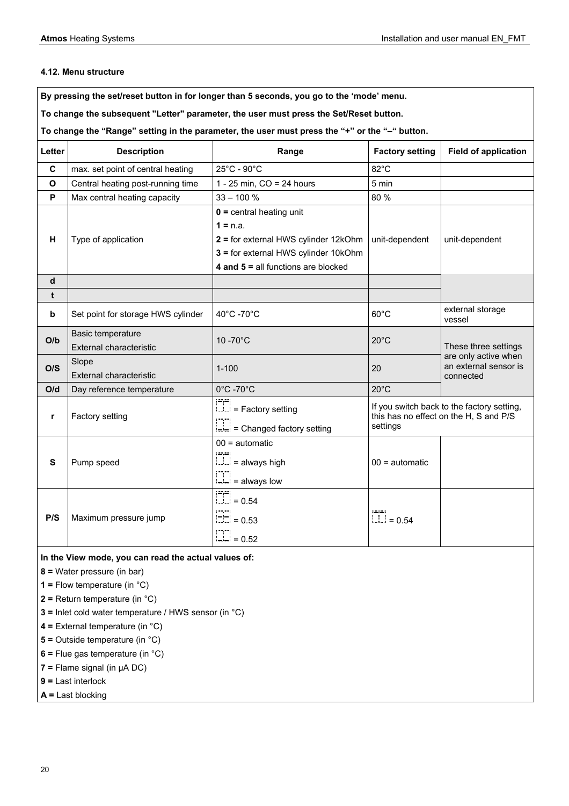# **4.12. Menu structure**

**By pressing the set/reset button in for longer than 5 seconds, you go to the 'mode' menu.** 

**To change the subsequent "Letter" parameter, the user must press the Set/Reset button.** 

**To change the "Range" setting in the parameter, the user must press the "+" or the "–" button.** 

| Letter                   | <b>Description</b>                                                                    | Range                                                                                                                                                             | <b>Factory setting</b>                                                                           | <b>Field of application</b>                                |
|--------------------------|---------------------------------------------------------------------------------------|-------------------------------------------------------------------------------------------------------------------------------------------------------------------|--------------------------------------------------------------------------------------------------|------------------------------------------------------------|
| C                        | max. set point of central heating                                                     | 25°C - 90°C                                                                                                                                                       | 82°C                                                                                             |                                                            |
| $\mathbf{o}$             | Central heating post-running time                                                     | 1 - 25 min, $CO = 24$ hours                                                                                                                                       | 5 min                                                                                            |                                                            |
| P                        | Max central heating capacity                                                          | $33 - 100 %$                                                                                                                                                      | 80 %                                                                                             |                                                            |
| н<br>Type of application |                                                                                       | $0 =$ central heating unit<br>$1 = n.a.$<br>2 = for external HWS cylinder 12kOhm<br>3 = for external HWS cylinder 10kOhm<br>4 and $5 =$ all functions are blocked | unit-dependent                                                                                   | unit-dependent                                             |
| d                        |                                                                                       |                                                                                                                                                                   |                                                                                                  |                                                            |
| t                        |                                                                                       |                                                                                                                                                                   |                                                                                                  |                                                            |
| b                        | Set point for storage HWS cylinder                                                    | 40°C -70°C                                                                                                                                                        | $60^{\circ}$ C                                                                                   | external storage<br>vessel                                 |
| O/b                      | Basic temperature<br><b>External characteristic</b>                                   | 10-70°C                                                                                                                                                           | $20^{\circ}$ C                                                                                   | These three settings                                       |
| O/S                      | Slope<br><b>External characteristic</b>                                               | $1 - 100$                                                                                                                                                         | 20                                                                                               | are only active when<br>an external sensor is<br>connected |
| O/d                      | Day reference temperature                                                             | 0°C -70°C<br>$20^{\circ}$ C                                                                                                                                       |                                                                                                  |                                                            |
| r                        | Factory setting                                                                       | $\boxed{\boxed{\phantom{1}}\phantom{1}}$ = Factory setting<br>Changed factory setting                                                                             | If you switch back to the factory setting,<br>this has no effect on the H, S and P/S<br>settings |                                                            |
| S                        | Pump speed                                                                            | $00 =$ automatic<br>$\boxed{\square}$ = always high<br>$\boxed{\square}$ = always low                                                                             | $00 =$ automatic                                                                                 |                                                            |
| P/S                      | Maximum pressure jump                                                                 | $\overline{11}$ = 0.54<br>$\boxed{+}$ = 0.53<br>$\Box$ = 0.52                                                                                                     | $\Box$ = 0.54                                                                                    |                                                            |
|                          | In the View mode, you can read the actual values of:<br>$8$ = Water pressure (in bar) |                                                                                                                                                                   |                                                                                                  |                                                            |

- **1 =** Flow temperature (in °C)
- **2 =** Return temperature (in °C)
- **3 =** Inlet cold water temperature / HWS sensor (in °C)
- **4 =** External temperature (in °C)
- **5 =** Outside temperature (in °C)
- **6 =** Flue gas temperature (in °C)
- **7 =** Flame signal (in µA DC)
- **9 =** Last interlock

**A =** Last blocking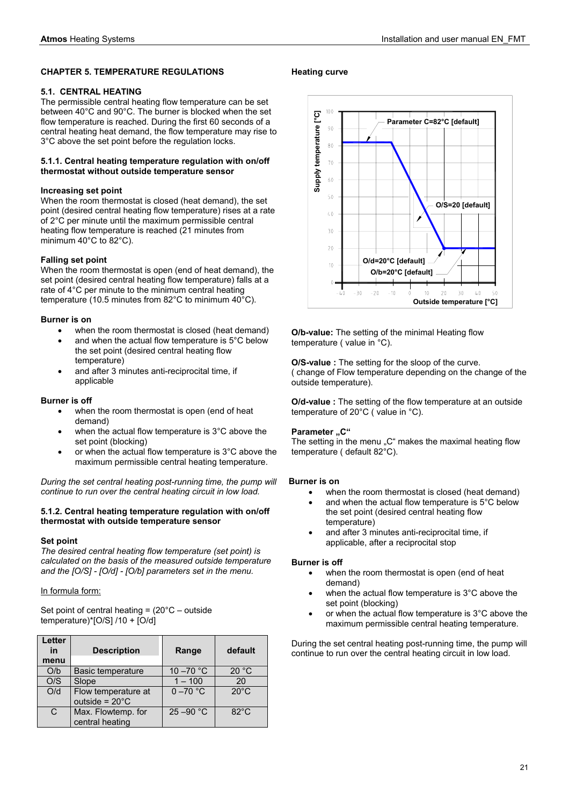# **CHAPTER 5. TEMPERATURE REGULATIONS**

# **5.1. CENTRAL HEATING**

The permissible central heating flow temperature can be set between 40°C and 90°C. The burner is blocked when the set flow temperature is reached. During the first 60 seconds of a central heating heat demand, the flow temperature may rise to 3°C above the set point before the regulation locks.

#### **5.1.1. Central heating temperature regulation with on/off thermostat without outside temperature sensor**

# **Increasing set point**

When the room thermostat is closed (heat demand), the set point (desired central heating flow temperature) rises at a rate of 2°C per minute until the maximum permissible central heating flow temperature is reached (21 minutes from minimum 40°C to 82°C).

# **Falling set point**

When the room thermostat is open (end of heat demand), the set point (desired central heating flow temperature) falls at a rate of 4°C per minute to the minimum central heating temperature (10.5 minutes from 82°C to minimum 40°C).

# **Burner is on**

- when the room thermostat is closed (heat demand)
- and when the actual flow temperature is 5°C below the set point (desired central heating flow temperature)
- and after 3 minutes anti-reciprocital time, if applicable

# **Burner is off**

- when the room thermostat is open (end of heat demand)
- when the actual flow temperature is 3°C above the set point (blocking)
- or when the actual flow temperature is  $3^{\circ}$ C above the maximum permissible central heating temperature.

*During the set central heating post-running time, the pump will continue to run over the central heating circuit in low load.* 

#### **5.1.2. Central heating temperature regulation with on/off thermostat with outside temperature sensor**

#### **Set point**

*The desired central heating flow temperature (set point) is calculated on the basis of the measured outside temperature and the [O/S] - [O/d] - [O/b] parameters set in the menu.* 

# In formula form:

Set point of central heating = (20°C – outside temperature)\*[O/S] /10 + [O/d]

| Letter<br>in<br>menu | <b>Description</b>                              | Range        | default        |
|----------------------|-------------------------------------------------|--------------|----------------|
| O/b                  | <b>Basic temperature</b>                        | 10 $-70$ °C  | 20 °C          |
| O/S                  | Slope                                           | $1 - 100$    | 20             |
| O/d                  | Flow temperature at<br>outside = $20^{\circ}$ C | $0 - 70$ °C  | $20^{\circ}$ C |
| C                    | Max. Flowtemp. for<br>central heating           | $25 - 90 °C$ | $82^{\circ}$ C |

# **Heating curve**



**O/b-value:** The setting of the minimal Heating flow temperature ( value in °C).

**O/S-value :** The setting for the sloop of the curve. ( change of Flow temperature depending on the change of the outside temperature).

**O/d-value :** The setting of the flow temperature at an outside temperature of 20°C ( value in °C).

# **Parameter ..C"**

The setting in the menu "C" makes the maximal heating flow temperature ( default 82°C).

#### **Burner is on**

- when the room thermostat is closed (heat demand)
- and when the actual flow temperature is 5°C below the set point (desired central heating flow temperature)
- and after 3 minutes anti-reciprocital time, if applicable, after a reciprocital stop

#### **Burner is off**

- when the room thermostat is open (end of heat demand)
- when the actual flow temperature is  $3^{\circ}$ C above the set point (blocking)
- or when the actual flow temperature is  $3^{\circ}$ C above the maximum permissible central heating temperature.

During the set central heating post-running time, the pump will continue to run over the central heating circuit in low load.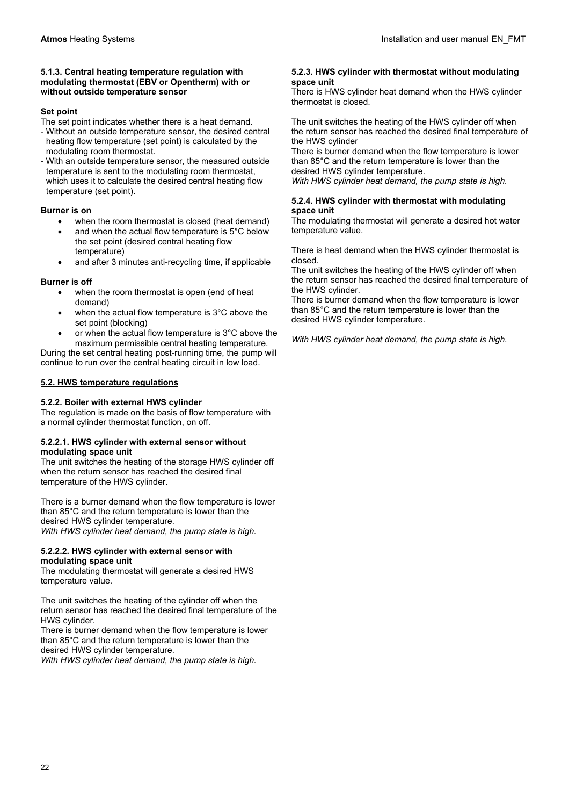#### **5.1.3. Central heating temperature regulation with modulating thermostat (EBV or Opentherm) with or without outside temperature sensor**

# **Set point**

The set point indicates whether there is a heat demand.

- Without an outside temperature sensor, the desired central heating flow temperature (set point) is calculated by the modulating room thermostat.
- With an outside temperature sensor, the measured outside temperature is sent to the modulating room thermostat, which uses it to calculate the desired central heating flow temperature (set point).

# **Burner is on**

- when the room thermostat is closed (heat demand)
- and when the actual flow temperature is 5°C below the set point (desired central heating flow temperature)
- and after 3 minutes anti-recycling time, if applicable

# **Burner is off**

- when the room thermostat is open (end of heat demand)
- when the actual flow temperature is 3°C above the set point (blocking)
- or when the actual flow temperature is 3°C above the maximum permissible central heating temperature.

During the set central heating post-running time, the pump will continue to run over the central heating circuit in low load.

# **5.2. HWS temperature regulations**

# **5.2.2. Boiler with external HWS cylinder**

The regulation is made on the basis of flow temperature with a normal cylinder thermostat function, on off.

# **5.2.2.1. HWS cylinder with external sensor without modulating space unit**

The unit switches the heating of the storage HWS cylinder off when the return sensor has reached the desired final temperature of the HWS cylinder.

There is a burner demand when the flow temperature is lower than 85°C and the return temperature is lower than the desired HWS cylinder temperature.

*With HWS cylinder heat demand, the pump state is high.* 

# **5.2.2.2. HWS cylinder with external sensor with modulating space unit**

The modulating thermostat will generate a desired HWS temperature value.

The unit switches the heating of the cylinder off when the return sensor has reached the desired final temperature of the HWS cylinder.

There is burner demand when the flow temperature is lower than 85°C and the return temperature is lower than the desired HWS cylinder temperature.

*With HWS cylinder heat demand, the pump state is high.* 

#### **5.2.3. HWS cylinder with thermostat without modulating space unit**

There is HWS cylinder heat demand when the HWS cylinder thermostat is closed.

The unit switches the heating of the HWS cylinder off when the return sensor has reached the desired final temperature of the HWS cylinder

There is burner demand when the flow temperature is lower than 85°C and the return temperature is lower than the desired HWS cylinder temperature.

*With HWS cylinder heat demand, the pump state is high.* 

# **5.2.4. HWS cylinder with thermostat with modulating space unit**

The modulating thermostat will generate a desired hot water temperature value.

There is heat demand when the HWS cylinder thermostat is closed.

The unit switches the heating of the HWS cylinder off when the return sensor has reached the desired final temperature of the HWS cylinder.

There is burner demand when the flow temperature is lower than 85°C and the return temperature is lower than the desired HWS cylinder temperature.

*With HWS cylinder heat demand, the pump state is high.*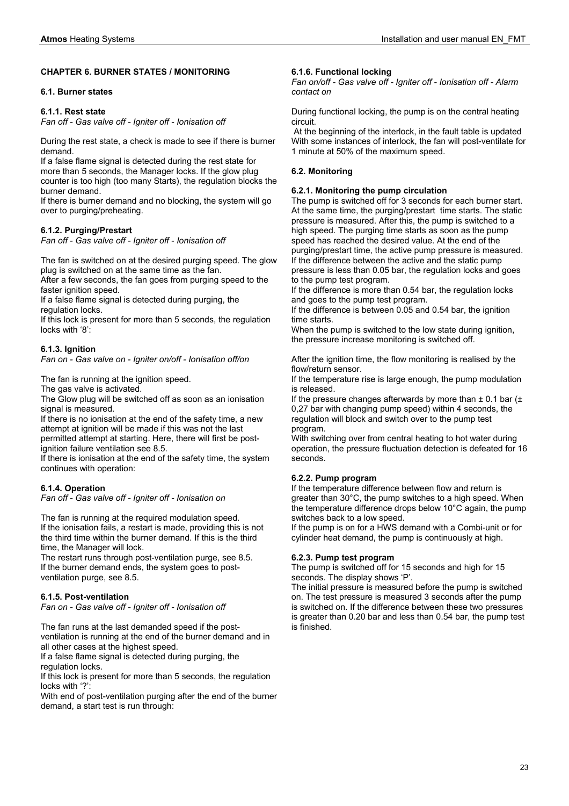#### **CHAPTER 6. BURNER STATES / MONITORING**

#### **6.1. Burner states**

#### **6.1.1. Rest state**

*Fan off - Gas valve off - Igniter off - Ionisation off* 

During the rest state, a check is made to see if there is burner demand.

If a false flame signal is detected during the rest state for more than 5 seconds, the Manager locks. If the glow plug counter is too high (too many Starts), the regulation blocks the burner demand.

If there is burner demand and no blocking, the system will go over to purging/preheating.

#### **6.1.2. Purging/Prestart**

*Fan off - Gas valve off - Igniter off - Ionisation off* 

The fan is switched on at the desired purging speed. The glow plug is switched on at the same time as the fan.

After a few seconds, the fan goes from purging speed to the faster ignition speed.

If a false flame signal is detected during purging, the regulation locks.

If this lock is present for more than 5 seconds, the regulation locks with '8':

# **6.1.3. Ignition**

*Fan on - Gas valve on - Igniter on/off - Ionisation off/on* 

The fan is running at the ignition speed.

The gas valve is activated.

The Glow plug will be switched off as soon as an ionisation signal is measured.

If there is no ionisation at the end of the safety time, a new attempt at ignition will be made if this was not the last permitted attempt at starting. Here, there will first be postignition failure ventilation see 8.5.

If there is ionisation at the end of the safety time, the system continues with operation:

#### **6.1.4. Operation**

*Fan off - Gas valve off - Igniter off - Ionisation on* 

The fan is running at the required modulation speed. If the ionisation fails, a restart is made, providing this is not the third time within the burner demand. If this is the third time, the Manager will lock.

The restart runs through post-ventilation purge, see 8.5. If the burner demand ends, the system goes to postventilation purge, see 8.5.

#### **6.1.5. Post-ventilation**

*Fan on - Gas valve off - Igniter off - Ionisation off* 

The fan runs at the last demanded speed if the postventilation is running at the end of the burner demand and in all other cases at the highest speed.

If a false flame signal is detected during purging, the regulation locks.

If this lock is present for more than 5 seconds, the regulation locks with '?':

With end of post-ventilation purging after the end of the burner demand, a start test is run through:

#### **6.1.6. Functional locking**

*Fan on/off - Gas valve off - Igniter off - Ionisation off - Alarm contact on* 

During functional locking, the pump is on the central heating circuit.

 At the beginning of the interlock, in the fault table is updated With some instances of interlock, the fan will post-ventilate for 1 minute at 50% of the maximum speed.

#### **6.2. Monitoring**

#### **6.2.1. Monitoring the pump circulation**

The pump is switched off for 3 seconds for each burner start. At the same time, the purging/prestart time starts. The static pressure is measured. After this, the pump is switched to a high speed. The purging time starts as soon as the pump speed has reached the desired value. At the end of the purging/prestart time, the active pump pressure is measured. If the difference between the active and the static pump pressure is less than 0.05 bar, the regulation locks and goes to the pump test program.

If the difference is more than 0.54 bar, the regulation locks and goes to the pump test program.

If the difference is between 0.05 and 0.54 bar, the ignition time starts.

When the pump is switched to the low state during ignition, the pressure increase monitoring is switched off.

After the ignition time, the flow monitoring is realised by the flow/return sensor.

If the temperature rise is large enough, the pump modulation is released.

If the pressure changes afterwards by more than  $\pm$  0.1 bar ( $\pm$ 0,27 bar with changing pump speed) within 4 seconds, the regulation will block and switch over to the pump test program.

With switching over from central heating to hot water during operation, the pressure fluctuation detection is defeated for 16 seconds.

# **6.2.2. Pump program**

If the temperature difference between flow and return is greater than 30°C, the pump switches to a high speed. When the temperature difference drops below 10°C again, the pump switches back to a low speed.

If the pump is on for a HWS demand with a Combi-unit or for cylinder heat demand, the pump is continuously at high.

#### **6.2.3. Pump test program**

The pump is switched off for 15 seconds and high for 15 seconds. The display shows 'P'.

The initial pressure is measured before the pump is switched on. The test pressure is measured 3 seconds after the pump is switched on. If the difference between these two pressures is greater than 0.20 bar and less than 0.54 bar, the pump test is finished.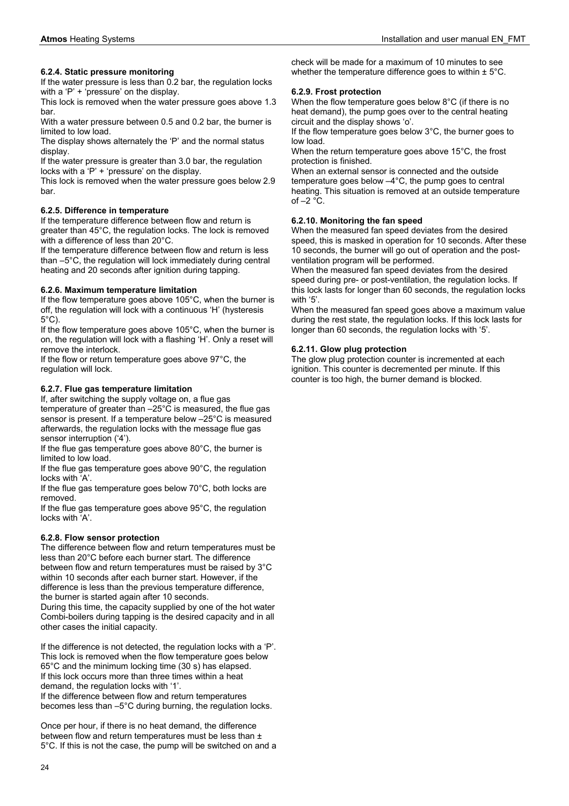# **6.2.4. Static pressure monitoring**

If the water pressure is less than 0.2 bar, the regulation locks with a 'P' + 'pressure' on the display.

This lock is removed when the water pressure goes above 1.3 bar.

With a water pressure between 0.5 and 0.2 bar, the burner is limited to low load.

The display shows alternately the 'P' and the normal status display.

If the water pressure is greater than 3.0 bar, the regulation locks with a 'P' + 'pressure' on the display.

This lock is removed when the water pressure goes below 2.9 bar.

# **6.2.5. Difference in temperature**

If the temperature difference between flow and return is greater than 45°C, the regulation locks. The lock is removed with a difference of less than 20°C.

If the temperature difference between flow and return is less than –5°C, the regulation will lock immediately during central heating and 20 seconds after ignition during tapping.

# **6.2.6. Maximum temperature limitation**

If the flow temperature goes above 105°C, when the burner is off, the regulation will lock with a continuous 'H' (hysteresis 5°C).

If the flow temperature goes above 105°C, when the burner is on, the regulation will lock with a flashing 'H'. Only a reset will remove the interlock.

If the flow or return temperature goes above 97°C, the regulation will lock.

# **6.2.7. Flue gas temperature limitation**

If, after switching the supply voltage on, a flue gas temperature of greater than –25°C is measured, the flue gas sensor is present. If a temperature below –25°C is measured afterwards, the regulation locks with the message flue gas sensor interruption ('4').

If the flue gas temperature goes above 80°C, the burner is limited to low load.

If the flue gas temperature goes above 90°C, the regulation locks with 'A'.

If the flue gas temperature goes below 70°C, both locks are removed.

If the flue gas temperature goes above 95°C, the regulation locks with 'A'.

# **6.2.8. Flow sensor protection**

The difference between flow and return temperatures must be less than 20°C before each burner start. The difference between flow and return temperatures must be raised by 3°C within 10 seconds after each burner start. However, if the difference is less than the previous temperature difference, the burner is started again after 10 seconds.

During this time, the capacity supplied by one of the hot water Combi-boilers during tapping is the desired capacity and in all other cases the initial capacity.

If the difference is not detected, the regulation locks with a 'P'. This lock is removed when the flow temperature goes below 65°C and the minimum locking time (30 s) has elapsed. If this lock occurs more than three times within a heat demand, the regulation locks with '1'.

If the difference between flow and return temperatures becomes less than –5°C during burning, the regulation locks.

Once per hour, if there is no heat demand, the difference between flow and return temperatures must be less than ± 5°C. If this is not the case, the pump will be switched on and a check will be made for a maximum of 10 minutes to see whether the temperature difference goes to within  $\pm$  5°C.

# **6.2.9. Frost protection**

When the flow temperature goes below 8°C (if there is no heat demand), the pump goes over to the central heating circuit and the display shows 'o'.

If the flow temperature goes below 3°C, the burner goes to low load.

When the return temperature goes above 15°C, the frost protection is finished.

When an external sensor is connected and the outside temperature goes below –4°C, the pump goes to central heating. This situation is removed at an outside temperature of  $-2$   $^{\circ}$ C.

# **6.2.10. Monitoring the fan speed**

When the measured fan speed deviates from the desired speed, this is masked in operation for 10 seconds. After these 10 seconds, the burner will go out of operation and the postventilation program will be performed.

When the measured fan speed deviates from the desired speed during pre- or post-ventilation, the regulation locks. If this lock lasts for longer than 60 seconds, the regulation locks with '5'.

When the measured fan speed goes above a maximum value during the rest state, the regulation locks. If this lock lasts for longer than 60 seconds, the regulation locks with '5'.

# **6.2.11. Glow plug protection**

The glow plug protection counter is incremented at each ignition. This counter is decremented per minute. If this counter is too high, the burner demand is blocked.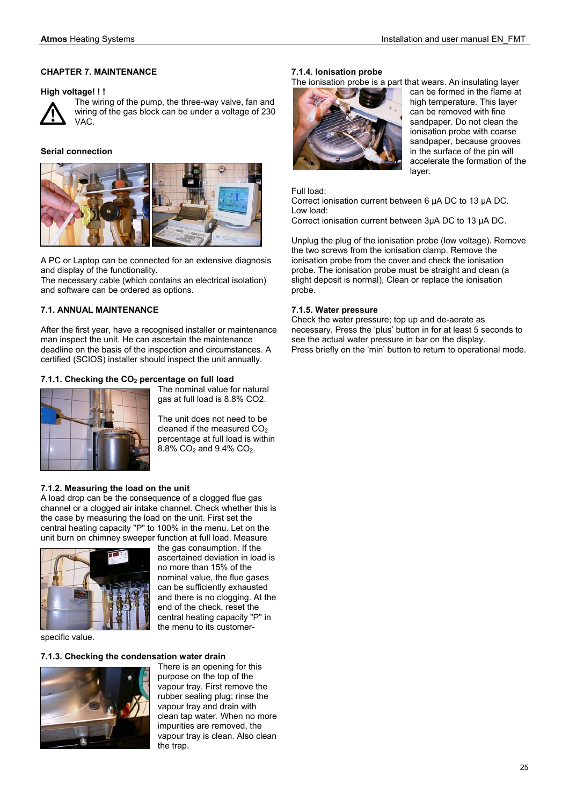# **CHAPTER 7. MAINTENANCE**

#### **High voltage! ! !**



The wiring of the pump, the three-way valve, fan and wiring of the gas block can be under a voltage of 230 VAC.

# **Serial connection**



A PC or Laptop can be connected for an extensive diagnosis and display of the functionality.

The necessary cable (which contains an electrical isolation) and software can be ordered as options.

# **7.1. ANNUAL MAINTENANCE**

After the first year, have a recognised installer or maintenance man inspect the unit. He can ascertain the maintenance deadline on the basis of the inspection and circumstances. A certified (SCIOS) installer should inspect the unit annually.

# **7.1.1. Checking the CO2 percentage on full load**



The nominal value for natural gas at full load is 8.8% CO2.

The unit does not need to be cleaned if the measured CO<sub>2</sub> percentage at full load is within  $8.8\%$  CO<sub>2</sub> and  $9.4\%$  CO<sub>2</sub>.

the gas consumption. If the ascertained deviation in load is no more than 15% of the nominal value, the flue gases can be sufficiently exhausted and there is no clogging. At the end of the check, reset the central heating capacity "P" in the menu to its customer-

# **7.1.2. Measuring the load on the unit**

A load drop can be the consequence of a clogged flue gas channel or a clogged air intake channel. Check whether this is the case by measuring the load on the unit. First set the central heating capacity "P" to 100% in the menu. Let on the unit burn on chimney sweeper function at full load. Measure



specific value.

# **7.1.3. Checking the condensation water drain**



There is an opening for this purpose on the top of the vapour tray. First remove the rubber sealing plug; rinse the vapour tray and drain with clean tap water. When no more impurities are removed, the vapour tray is clean. Also clean the trap.

#### **7.1.4. Ionisation probe**

The ionisation probe is a part that wears. An insulating layer



can be formed in the flame at high temperature. This layer can be removed with fine sandpaper. Do not clean the ionisation probe with coarse sandpaper, because grooves in the surface of the pin will accelerate the formation of the layer.

#### Full load:

Correct ionisation current between 6 µA DC to 13 µA DC. Low load:

Correct ionisation current between 3µA DC to 13 µA DC.

Unplug the plug of the ionisation probe (low voltage). Remove the two screws from the ionisation clamp. Remove the ionisation probe from the cover and check the ionisation probe. The ionisation probe must be straight and clean (a slight deposit is normal), Clean or replace the ionisation probe.

# **7.1.5. Water pressure**

Check the water pressure; top up and de-aerate as necessary. Press the 'plus' button in for at least 5 seconds to see the actual water pressure in bar on the display. Press briefly on the 'min' button to return to operational mode.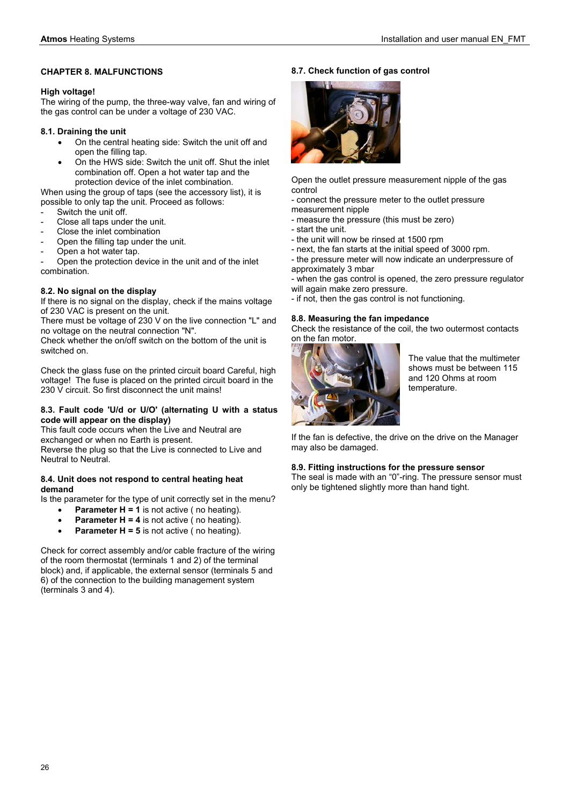# **CHAPTER 8. MALFUNCTIONS**

# **High voltage!**

The wiring of the pump, the three-way valve, fan and wiring of the gas control can be under a voltage of 230 VAC.

# **8.1. Draining the unit**

- On the central heating side: Switch the unit off and open the filling tap.
- On the HWS side: Switch the unit off. Shut the inlet combination off. Open a hot water tap and the protection device of the inlet combination.

When using the group of taps (see the accessory list), it is possible to only tap the unit. Proceed as follows:

- Switch the unit off.
- Close all taps under the unit.
- Close the inlet combination
- Open the filling tap under the unit.
- Open a hot water tap.

Open the protection device in the unit and of the inlet combination.

# **8.2. No signal on the display**

If there is no signal on the display, check if the mains voltage of 230 VAC is present on the unit.

There must be voltage of 230 V on the live connection "L" and no voltage on the neutral connection "N".

Check whether the on/off switch on the bottom of the unit is switched on.

Check the glass fuse on the printed circuit board Careful, high voltage! The fuse is placed on the printed circuit board in the 230 V circuit. So first disconnect the unit mains!

# **8.3. Fault code 'U/d or U/O' (alternating U with a status code will appear on the display)**

This fault code occurs when the Live and Neutral are exchanged or when no Earth is present.

Reverse the plug so that the Live is connected to Live and Neutral to Neutral.

# **8.4. Unit does not respond to central heating heat demand**

Is the parameter for the type of unit correctly set in the menu?

- **Parameter H = 1** is not active (no heating).
- **Parameter H = 4** is not active (no heating).
- **Parameter H = 5** is not active ( no heating).

Check for correct assembly and/or cable fracture of the wiring of the room thermostat (terminals 1 and 2) of the terminal block) and, if applicable, the external sensor (terminals 5 and 6) of the connection to the building management system (terminals 3 and 4).

# **8.7. Check function of gas control**



Open the outlet pressure measurement nipple of the gas control

- connect the pressure meter to the outlet pressure measurement nipple

- measure the pressure (this must be zero)
- start the unit.
- the unit will now be rinsed at 1500 rpm
- next, the fan starts at the initial speed of 3000 rpm.
- the pressure meter will now indicate an underpressure of approximately 3 mbar

- when the gas control is opened, the zero pressure regulator will again make zero pressure.

- if not, then the gas control is not functioning.

# **8.8. Measuring the fan impedance**

Check the resistance of the coil, the two outermost contacts on the fan motor.



The value that the multimeter shows must be between 115 and 120 Ohms at room temperature.

If the fan is defective, the drive on the drive on the Manager may also be damaged.

# **8.9. Fitting instructions for the pressure sensor**

The seal is made with an "0"-ring. The pressure sensor must only be tightened slightly more than hand tight.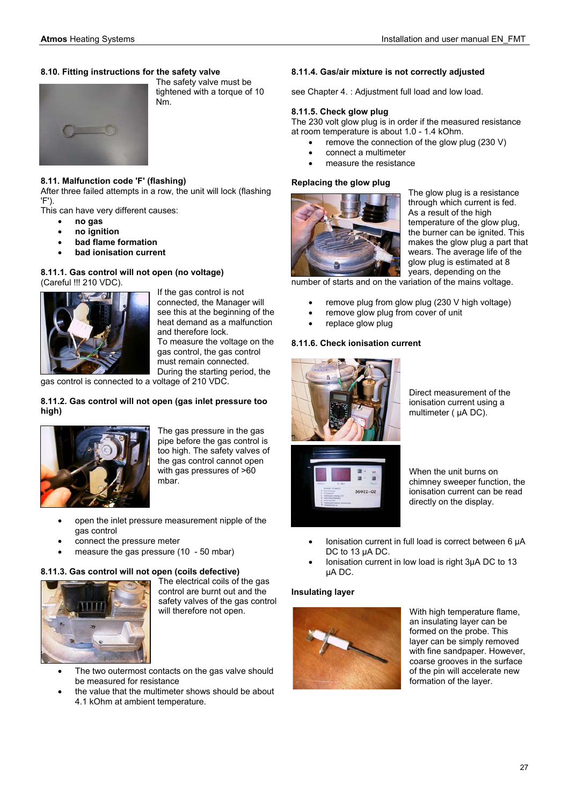# **8.10. Fitting instructions for the safety valve**



# **8.11. Malfunction code 'F' (flashing)**

After three failed attempts in a row, the unit will lock (flashing 'F').

Nm.

This can have very different causes:

- **no gas**
- **no ignition**
- **bad flame formation**
- **bad ionisation current**

#### **8.11.1. Gas control will not open (no voltage)**  (Careful !!! 210 VDC).



If the gas control is not connected, the Manager will see this at the beginning of the heat demand as a malfunction and therefore lock. To measure the voltage on the gas control, the gas control must remain connected. During the starting period, the

The safety valve must be tightened with a torque of 10

gas control is connected to a voltage of 210 VDC.

# **8.11.2. Gas control will not open (gas inlet pressure too high)**



The gas pressure in the gas pipe before the gas control is too high. The safety valves of the gas control cannot open with gas pressures of >60 mbar.

- open the inlet pressure measurement nipple of the gas control
- connect the pressure meter
- measure the gas pressure (10 50 mbar)

# **8.11.3. Gas control will not open (coils defective)**



**The electrical coils of the gas** control are burnt out and the safety valves of the gas control will therefore not open.

- The two outermost contacts on the gas valve should be measured for resistance
- the value that the multimeter shows should be about 4.1 kOhm at ambient temperature.

#### **8.11.4. Gas/air mixture is not correctly adjusted**

see Chapter 4. : Adjustment full load and low load.

#### **8.11.5. Check glow plug**

The 230 volt glow plug is in order if the measured resistance at room temperature is about 1.0 - 1.4 kOhm.

- remove the connection of the glow plug (230 V)
- connect a multimeter
- measure the resistance

#### **Replacing the glow plug**



The glow plug is a resistance through which current is fed. As a result of the high temperature of the glow plug, the burner can be ignited. This makes the glow plug a part that wears. The average life of the glow plug is estimated at 8 years, depending on the

number of starts and on the variation of the mains voltage.

- remove plug from glow plug (230 V high voltage)
- remove glow plug from cover of unit
- replace glow plug

#### **8.11.6. Check ionisation current**



Direct measurement of the ionisation current using a multimeter (  $\mu$ A DC).



When the unit burns on chimney sweeper function, the ionisation current can be read directly on the display.

- Ionisation current in full load is correct between 6 µA DC to 13 uA DC.
- Ionisation current in low load is right 3µA DC to 13 µA DC.

#### **Insulating layer**



With high temperature flame, an insulating layer can be formed on the probe. This layer can be simply removed with fine sandpaper. However, coarse grooves in the surface of the pin will accelerate new formation of the layer.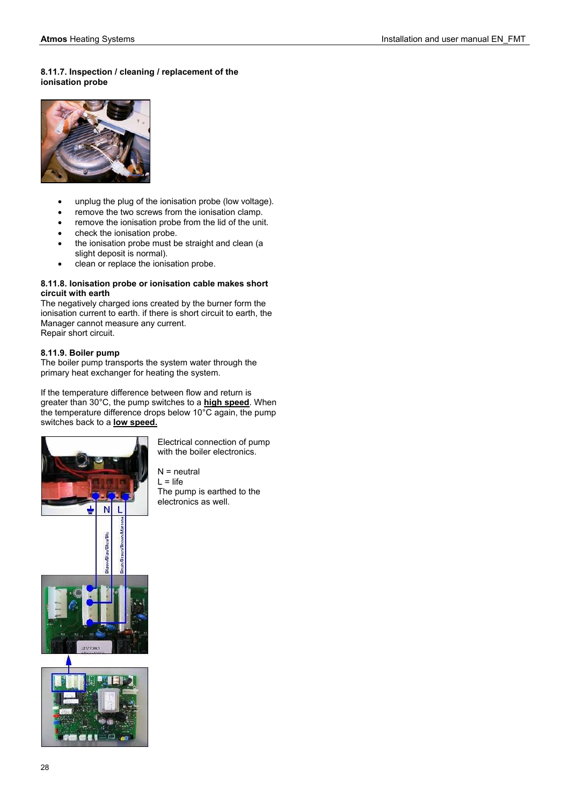# **8.11.7. Inspection / cleaning / replacement of the ionisation probe**



- unplug the plug of the ionisation probe (low voltage).
- remove the two screws from the ionisation clamp.
- remove the ionisation probe from the lid of the unit.
- check the ionisation probe.
- the ionisation probe must be straight and clean (a slight deposit is normal).
- clean or replace the ionisation probe.

#### **8.11.8. Ionisation probe or ionisation cable makes short circuit with earth**

The negatively charged ions created by the burner form the ionisation current to earth. if there is short circuit to earth, the Manager cannot measure any current. Repair short circuit.

# **8.11.9. Boiler pump**

The boiler pump transports the system water through the primary heat exchanger for heating the system.

If the temperature difference between flow and return is greater than 30°C, the pump switches to a **high speed**. When the temperature difference drops below 10°C again, the pump switches back to a **low speed.**



Electrical connection of pump with the boiler electronics.

 $N =$  neutral  $L = life$ The pump is earthed to the electronics as well.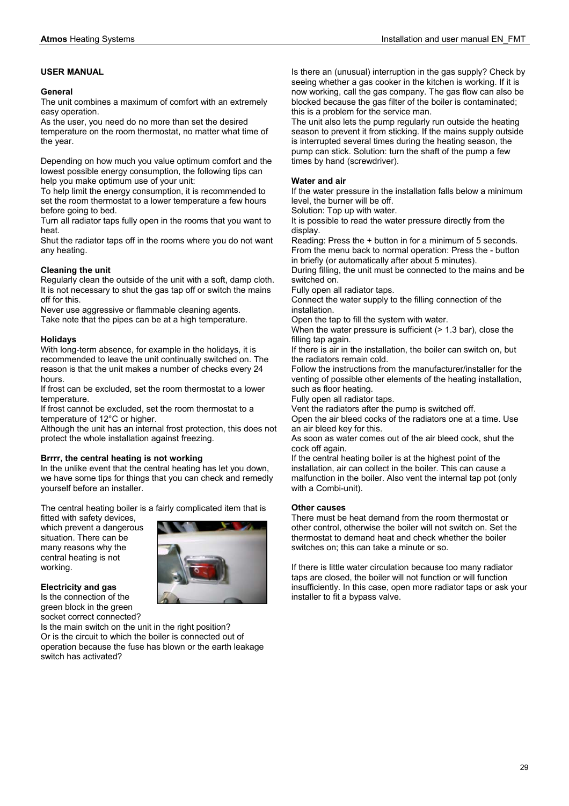# **USER MANUAL**

#### **General**

The unit combines a maximum of comfort with an extremely easy operation.

As the user, you need do no more than set the desired temperature on the room thermostat, no matter what time of the year.

Depending on how much you value optimum comfort and the lowest possible energy consumption, the following tips can help you make optimum use of your unit:

To help limit the energy consumption, it is recommended to set the room thermostat to a lower temperature a few hours before going to bed.

Turn all radiator taps fully open in the rooms that you want to heat.

Shut the radiator taps off in the rooms where you do not want any heating.

# **Cleaning the unit**

Regularly clean the outside of the unit with a soft, damp cloth. It is not necessary to shut the gas tap off or switch the mains off for this.

Never use aggressive or flammable cleaning agents. Take note that the pipes can be at a high temperature.

# **Holidays**

With long-term absence, for example in the holidays, it is recommended to leave the unit continually switched on. The reason is that the unit makes a number of checks every 24 hours.

If frost can be excluded, set the room thermostat to a lower temperature.

If frost cannot be excluded, set the room thermostat to a temperature of 12°C or higher.

Although the unit has an internal frost protection, this does not protect the whole installation against freezing.

# **Brrrr, the central heating is not working**

In the unlike event that the central heating has let you down, we have some tips for things that you can check and remedly yourself before an installer.

The central heating boiler is a fairly complicated item that is

fitted with safety devices, which prevent a dangerous situation. There can be many reasons why the central heating is not working.



**Electricity and gas**  Is the connection of the

green block in the green socket correct connected?

Is the main switch on the unit in the right position? Or is the circuit to which the boiler is connected out of operation because the fuse has blown or the earth leakage switch has activated?

Is there an (unusual) interruption in the gas supply? Check by seeing whether a gas cooker in the kitchen is working. If it is now working, call the gas company. The gas flow can also be blocked because the gas filter of the boiler is contaminated; this is a problem for the service man.

The unit also lets the pump regularly run outside the heating season to prevent it from sticking. If the mains supply outside is interrupted several times during the heating season, the pump can stick. Solution: turn the shaft of the pump a few times by hand (screwdriver).

# **Water and air**

If the water pressure in the installation falls below a minimum level, the burner will be off.

Solution: Top up with water.

It is possible to read the water pressure directly from the display.

Reading: Press the + button in for a minimum of 5 seconds. From the menu back to normal operation: Press the - button in briefly (or automatically after about 5 minutes).

During filling, the unit must be connected to the mains and be switched on.

Fully open all radiator taps.

Connect the water supply to the filling connection of the installation.

Open the tap to fill the system with water.

When the water pressure is sufficient (> 1.3 bar), close the filling tap again.

If there is air in the installation, the boiler can switch on, but the radiators remain cold.

Follow the instructions from the manufacturer/installer for the venting of possible other elements of the heating installation, such as floor heating.

Fully open all radiator taps.

Vent the radiators after the pump is switched off.

Open the air bleed cocks of the radiators one at a time. Use an air bleed key for this.

As soon as water comes out of the air bleed cock, shut the cock off again.

If the central heating boiler is at the highest point of the installation, air can collect in the boiler. This can cause a malfunction in the boiler. Also vent the internal tap pot (only with a Combi-unit).

# **Other causes**

There must be heat demand from the room thermostat or other control, otherwise the boiler will not switch on. Set the thermostat to demand heat and check whether the boiler switches on; this can take a minute or so.

If there is little water circulation because too many radiator taps are closed, the boiler will not function or will function insufficiently. In this case, open more radiator taps or ask your installer to fit a bypass valve.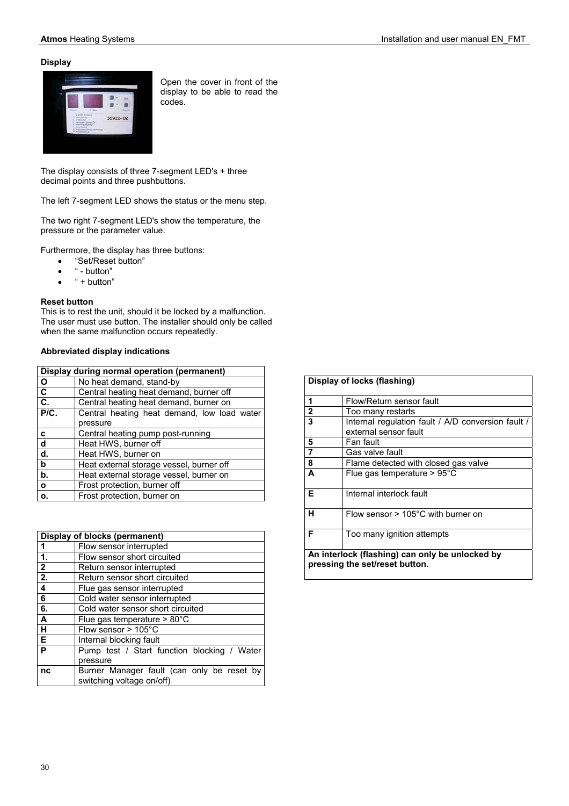# **Display**



Open the cover in front of the display to be able to read the codes.

The display consists of three 7-segment LED's + three decimal points and three pushbuttons.

The left 7-segment LED shows the status or the menu step.

The two right 7-segment LED's show the temperature, the pressure or the parameter value.

Furthermore, the display has three buttons:

- "Set/Reset button"
- $\bullet$  " button"
- $\bullet$  " + button"

# **Reset button**

This is to rest the unit, should it be locked by a malfunction. The user must use button. The installer should only be called when the same malfunction occurs repeatedly.

# **Abbreviated display indications**

| Display during normal operation (permanent) |                                             |
|---------------------------------------------|---------------------------------------------|
| $\mathbf{o}$                                | No heat demand, stand-by                    |
| C                                           | Central heating heat demand, burner off     |
| C.                                          | Central heating heat demand, burner on      |
| P/C.                                        | Central heating heat demand, low load water |
|                                             | pressure                                    |
| C                                           | Central heating pump post-running           |
| d                                           | Heat HWS, burner off                        |
| d.                                          | Heat HWS, burner on                         |
| $\mathbf b$                                 | Heat external storage vessel, burner off    |
| b.                                          | Heat external storage vessel, burner on     |
| $\mathbf{o}$                                | Frost protection, burner off                |
| о.                                          | Frost protection, burner on                 |

|                         | Display of blocks (permanent)                                           |  |
|-------------------------|-------------------------------------------------------------------------|--|
|                         | Flow sensor interrupted                                                 |  |
| $\overline{1}$          | Flow sensor short circuited                                             |  |
| $\overline{2}$          | Return sensor interrupted                                               |  |
| $\overline{2}$ .        | Return sensor short circuited                                           |  |
| $\overline{\mathbf{4}}$ | Flue gas sensor interrupted                                             |  |
| 6                       | Cold water sensor interrupted                                           |  |
| 6.                      | Cold water sensor short circuited                                       |  |
| A                       | Flue gas temperature $> 80^{\circ}$ C                                   |  |
| н                       | Flow sensor $> 105^{\circ}$ C                                           |  |
| E                       | Internal blocking fault                                                 |  |
| P                       | Pump test / Start function blocking / Water                             |  |
|                         | pressure                                                                |  |
| nc                      | Burner Manager fault (can only be reset by<br>switching voltage on/off) |  |

|                                                                                   | Display of locks (flashing)                                                 |
|-----------------------------------------------------------------------------------|-----------------------------------------------------------------------------|
| 1                                                                                 | Flow/Return sensor fault                                                    |
| 2                                                                                 | Too many restarts                                                           |
| $\overline{\mathbf{3}}$                                                           | Internal regulation fault / A/D conversion fault /<br>external sensor fault |
| 5                                                                                 | Fan fault                                                                   |
| $\overline{7}$                                                                    | Gas valve fault                                                             |
| 8                                                                                 | Flame detected with closed gas valve                                        |
| A                                                                                 | Flue gas temperature $> 95^{\circ}$ C                                       |
| Е                                                                                 | Internal interlock fault                                                    |
| н                                                                                 | Flow sensor $> 105^{\circ}$ C with burner on                                |
| F                                                                                 | Too many ignition attempts                                                  |
| An interlock (flashing) can only be unlocked by<br>pressing the set/reset button. |                                                                             |